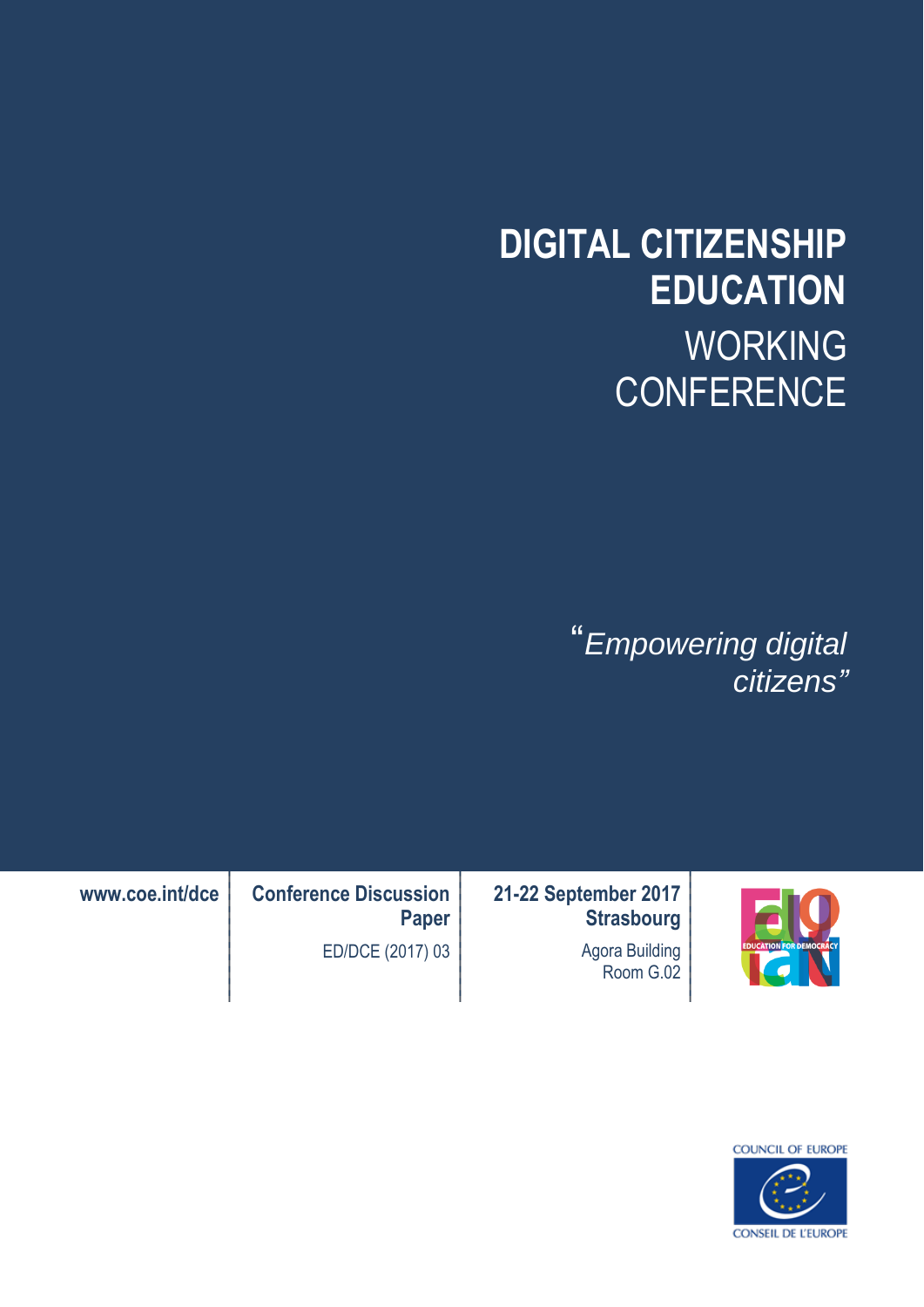# **DIGITAL CITIZENSHIP EDUCATION** WORKING **CONFERENCE**

"*Empowering digital citizens"*



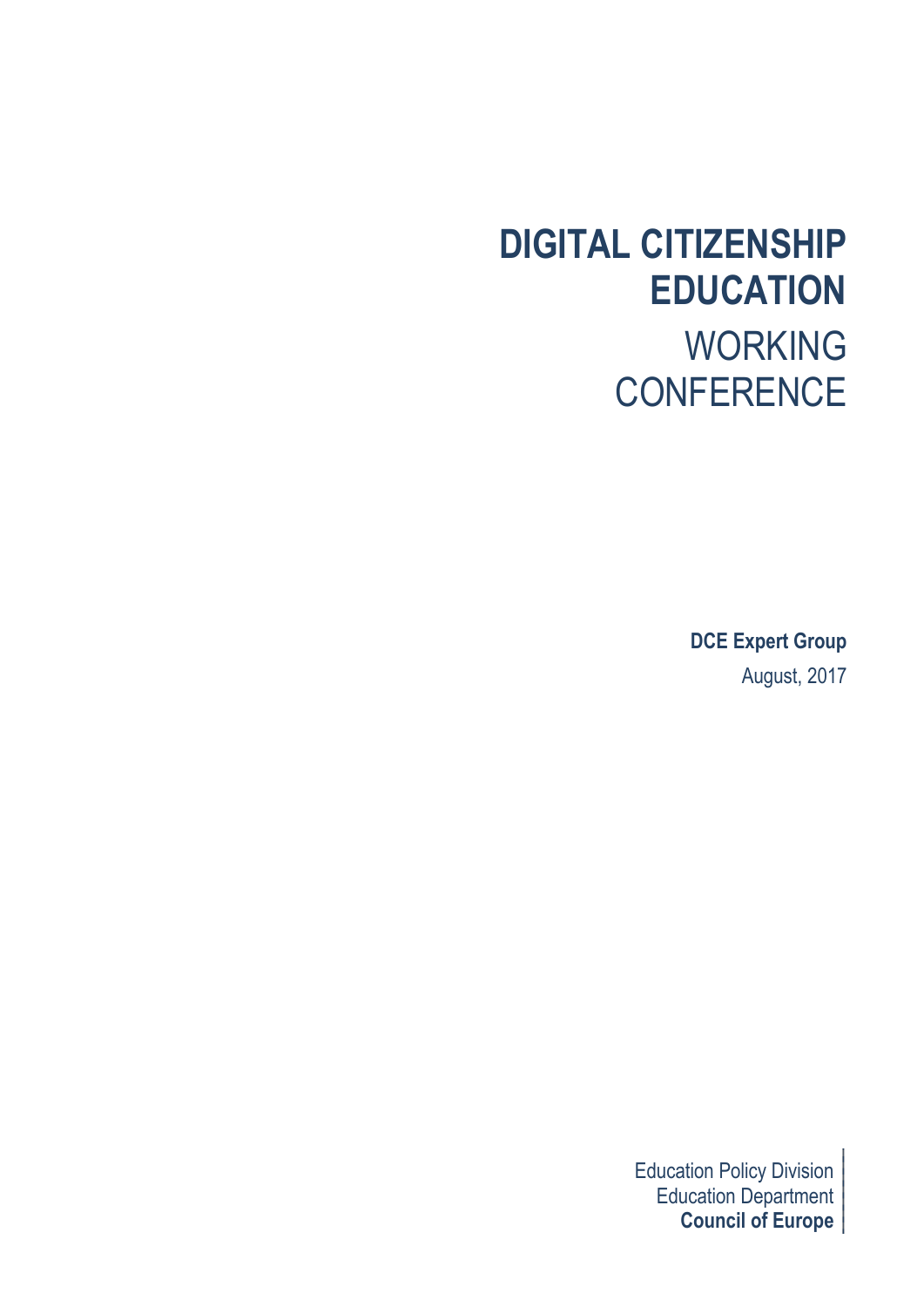## **DIGITAL CITIZENSHIP EDUCATION** WORKING **CONFERENCE**

**DCE Expert Group** August, 2017

Education Policy Division Education Department **Council of Europe**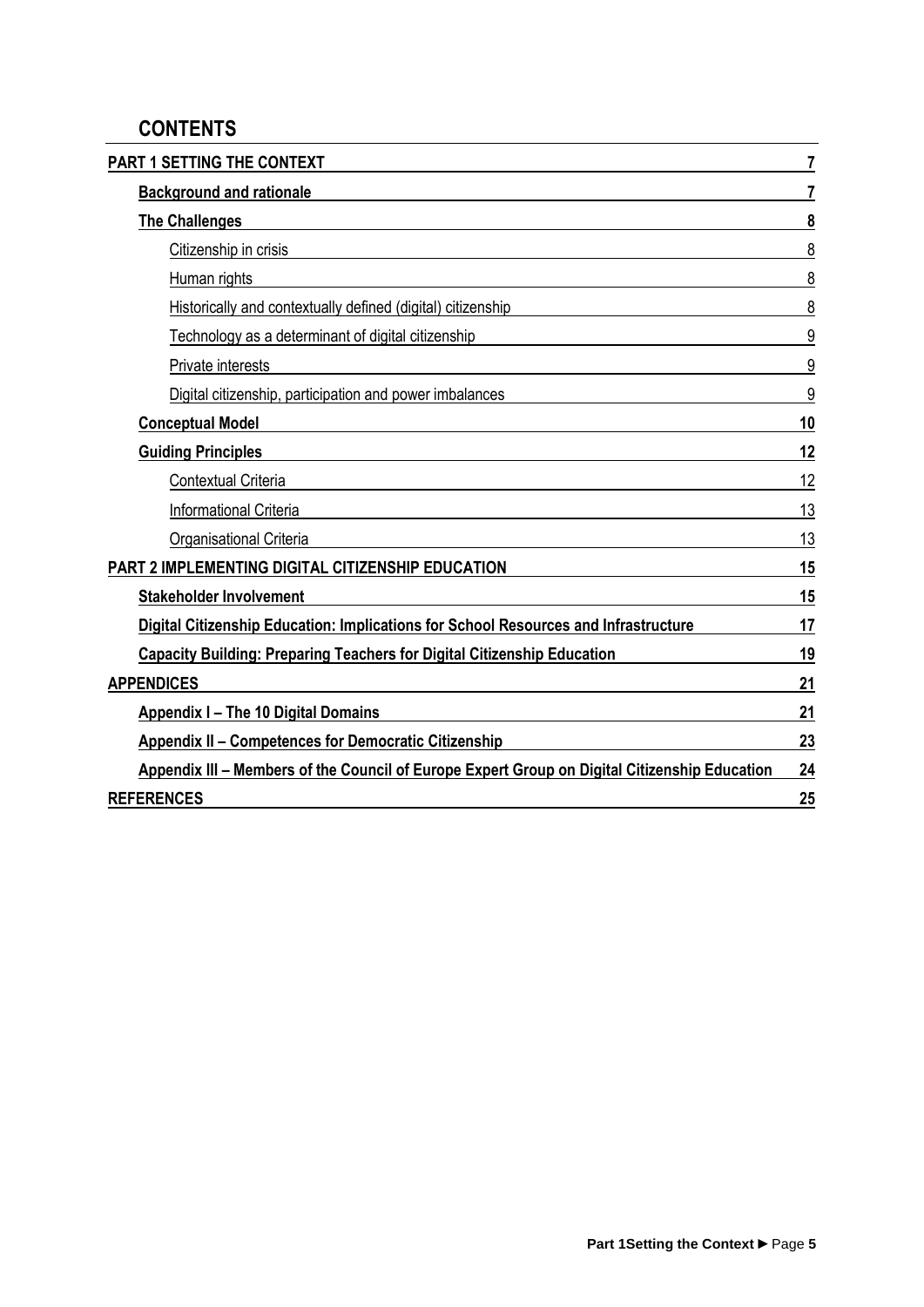### **CONTENTS**

| PART 1 SETTING THE CONTEXT                                                                    | 7  |
|-----------------------------------------------------------------------------------------------|----|
| <b>Background and rationale</b>                                                               | 7  |
| <b>The Challenges</b>                                                                         | 8  |
| Citizenship in crisis                                                                         | 8  |
| Human rights                                                                                  | 8  |
| Historically and contextually defined (digital) citizenship                                   | 8  |
| Technology as a determinant of digital citizenship                                            | 9  |
| Private interests                                                                             | 9  |
| Digital citizenship, participation and power imbalances                                       | 9  |
| <b>Conceptual Model</b>                                                                       | 10 |
| <b>Guiding Principles</b>                                                                     | 12 |
| Contextual Criteria                                                                           | 12 |
| <b>Informational Criteria</b>                                                                 | 13 |
| <b>Organisational Criteria</b>                                                                | 13 |
| PART 2 IMPLEMENTING DIGITAL CITIZENSHIP EDUCATION                                             | 15 |
| <b>Stakeholder Involvement</b>                                                                | 15 |
| Digital Citizenship Education: Implications for School Resources and Infrastructure           | 17 |
| <b>Capacity Building: Preparing Teachers for Digital Citizenship Education</b>                | 19 |
| <b>APPENDICES</b>                                                                             | 21 |
| <b>Appendix I - The 10 Digital Domains</b>                                                    | 21 |
| <b>Appendix II - Competences for Democratic Citizenship</b>                                   | 23 |
| Appendix III – Members of the Council of Europe Expert Group on Digital Citizenship Education | 24 |
| <b>REFERENCES</b>                                                                             | 25 |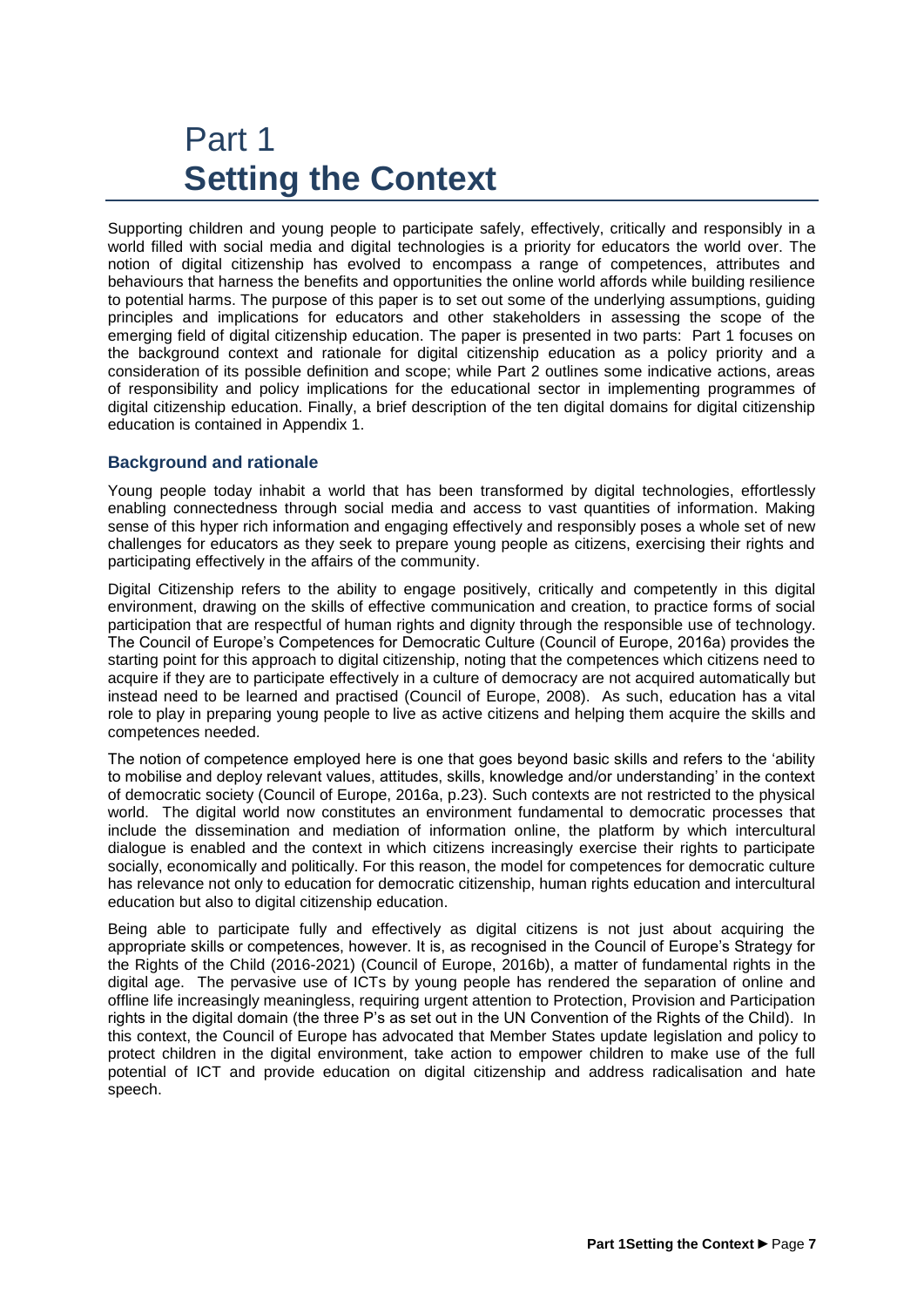## <span id="page-6-0"></span>Part 1 **Setting the Context**

Supporting children and young people to participate safely, effectively, critically and responsibly in a world filled with social media and digital technologies is a priority for educators the world over. The notion of digital citizenship has evolved to encompass a range of competences, attributes and behaviours that harness the benefits and opportunities the online world affords while building resilience to potential harms. The purpose of this paper is to set out some of the underlying assumptions, guiding principles and implications for educators and other stakeholders in assessing the scope of the emerging field of digital citizenship education. The paper is presented in two parts: Part 1 focuses on the background context and rationale for digital citizenship education as a policy priority and a consideration of its possible definition and scope; while Part 2 outlines some indicative actions, areas of responsibility and policy implications for the educational sector in implementing programmes of digital citizenship education. Finally, a brief description of the ten digital domains for digital citizenship education is contained in Appendix 1.

### <span id="page-6-1"></span>**Background and rationale**

Young people today inhabit a world that has been transformed by digital technologies, effortlessly enabling connectedness through social media and access to vast quantities of information. Making sense of this hyper rich information and engaging effectively and responsibly poses a whole set of new challenges for educators as they seek to prepare young people as citizens, exercising their rights and participating effectively in the affairs of the community.

Digital Citizenship refers to the ability to engage positively, critically and competently in this digital environment, drawing on the skills of effective communication and creation, to practice forms of social participation that are respectful of human rights and dignity through the responsible use of technology. The Council of Europe's Competences for Democratic Culture (Council of Europe, 2016a) provides the starting point for this approach to digital citizenship, noting that the competences which citizens need to acquire if they are to participate effectively in a culture of democracy are not acquired automatically but instead need to be learned and practised (Council of Europe, 2008). As such, education has a vital role to play in preparing young people to live as active citizens and helping them acquire the skills and competences needed.

The notion of competence employed here is one that goes beyond basic skills and refers to the 'ability to mobilise and deploy relevant values, attitudes, skills, knowledge and/or understanding' in the context of democratic society (Council of Europe, 2016a, p.23). Such contexts are not restricted to the physical world. The digital world now constitutes an environment fundamental to democratic processes that include the dissemination and mediation of information online, the platform by which intercultural dialogue is enabled and the context in which citizens increasingly exercise their rights to participate socially, economically and politically. For this reason, the model for competences for democratic culture has relevance not only to education for democratic citizenship, human rights education and intercultural education but also to digital citizenship education.

Being able to participate fully and effectively as digital citizens is not just about acquiring the appropriate skills or competences, however. It is, as recognised in the Council of Europe's Strategy for the Rights of the Child (2016-2021) (Council of Europe, 2016b), a matter of fundamental rights in the digital age. The pervasive use of ICTs by young people has rendered the separation of online and offline life increasingly meaningless, requiring urgent attention to Protection, Provision and Participation rights in the digital domain (the three P's as set out in the UN Convention of the Rights of the Child). In this context, the Council of Europe has advocated that Member States update legislation and policy to protect children in the digital environment, take action to empower children to make use of the full potential of ICT and provide education on digital citizenship and address radicalisation and hate speech.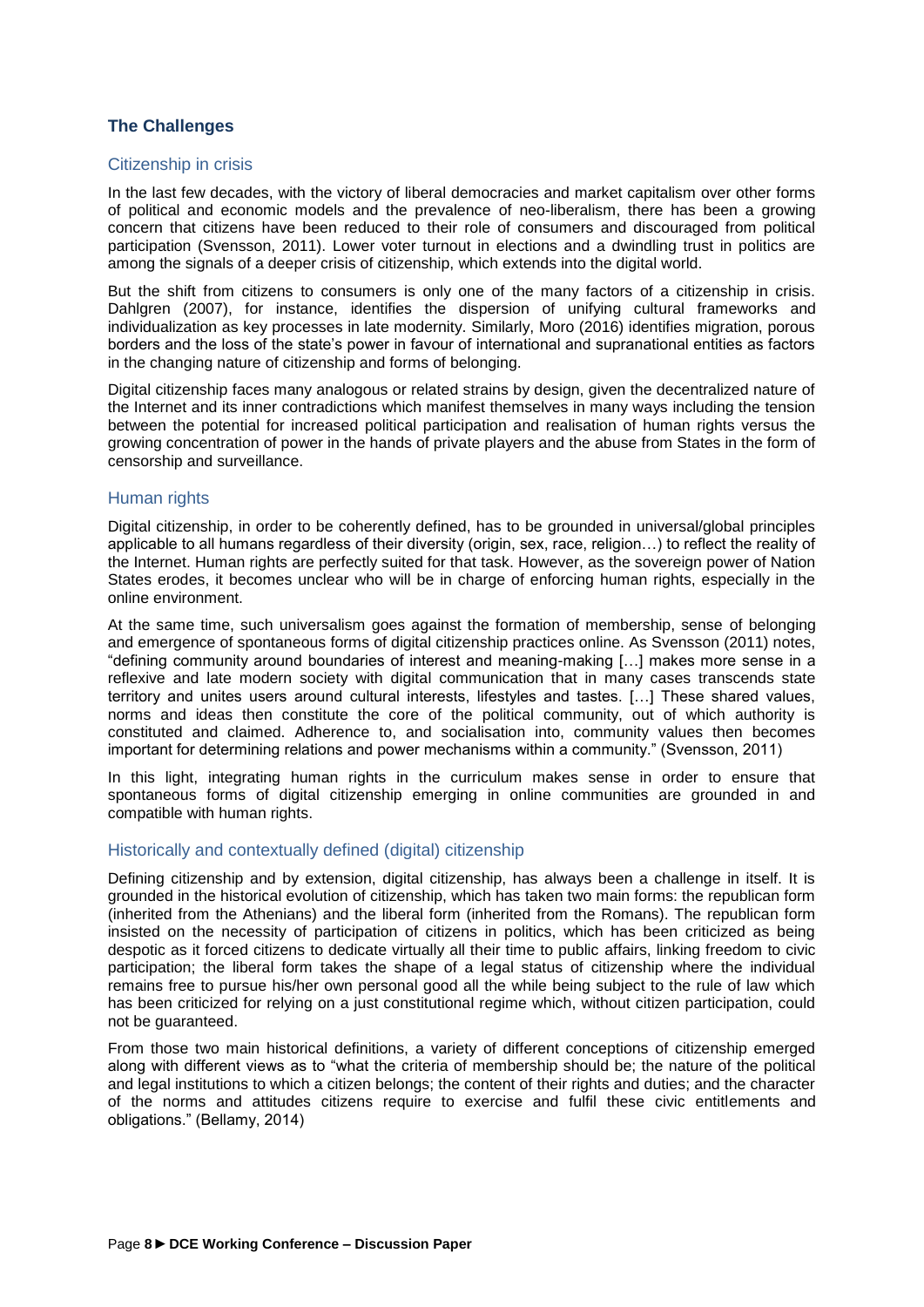### <span id="page-7-0"></span>**The Challenges**

### <span id="page-7-1"></span>Citizenship in crisis

In the last few decades, with the victory of liberal democracies and market capitalism over other forms of political and economic models and the prevalence of neo-liberalism, there has been a growing concern that citizens have been reduced to their role of consumers and discouraged from political participation (Svensson, 2011). Lower voter turnout in elections and a dwindling trust in politics are among the signals of a deeper crisis of citizenship, which extends into the digital world.

But the shift from citizens to consumers is only one of the many factors of a citizenship in crisis. Dahlgren (2007), for instance, identifies the dispersion of unifying cultural frameworks and individualization as key processes in late modernity. Similarly, Moro (2016) identifies migration, porous borders and the loss of the state's power in favour of international and supranational entities as factors in the changing nature of citizenship and forms of belonging.

Digital citizenship faces many analogous or related strains by design, given the decentralized nature of the Internet and its inner contradictions which manifest themselves in many ways including the tension between the potential for increased political participation and realisation of human rights versus the growing concentration of power in the hands of private players and the abuse from States in the form of censorship and surveillance.

### <span id="page-7-2"></span>Human rights

Digital citizenship, in order to be coherently defined, has to be grounded in universal/global principles applicable to all humans regardless of their diversity (origin, sex, race, religion…) to reflect the reality of the Internet. Human rights are perfectly suited for that task. However, as the sovereign power of Nation States erodes, it becomes unclear who will be in charge of enforcing human rights, especially in the online environment.

At the same time, such universalism goes against the formation of membership, sense of belonging and emergence of spontaneous forms of digital citizenship practices online. As Svensson (2011) notes, "defining community around boundaries of interest and meaning-making […] makes more sense in a reflexive and late modern society with digital communication that in many cases transcends state territory and unites users around cultural interests, lifestyles and tastes. […] These shared values, norms and ideas then constitute the core of the political community, out of which authority is constituted and claimed. Adherence to, and socialisation into, community values then becomes important for determining relations and power mechanisms within a community." (Svensson, 2011)

In this light, integrating human rights in the curriculum makes sense in order to ensure that spontaneous forms of digital citizenship emerging in online communities are grounded in and compatible with human rights.

### <span id="page-7-3"></span>Historically and contextually defined (digital) citizenship

Defining citizenship and by extension, digital citizenship, has always been a challenge in itself. It is grounded in the historical evolution of citizenship, which has taken two main forms: the republican form (inherited from the Athenians) and the liberal form (inherited from the Romans). The republican form insisted on the necessity of participation of citizens in politics, which has been criticized as being despotic as it forced citizens to dedicate virtually all their time to public affairs, linking freedom to civic participation; the liberal form takes the shape of a legal status of citizenship where the individual remains free to pursue his/her own personal good all the while being subject to the rule of law which has been criticized for relying on a just constitutional regime which, without citizen participation, could not be guaranteed.

From those two main historical definitions, a variety of different conceptions of citizenship emerged along with different views as to "what the criteria of membership should be; the nature of the political and legal institutions to which a citizen belongs; the content of their rights and duties; and the character of the norms and attitudes citizens require to exercise and fulfil these civic entitlements and obligations." (Bellamy, 2014)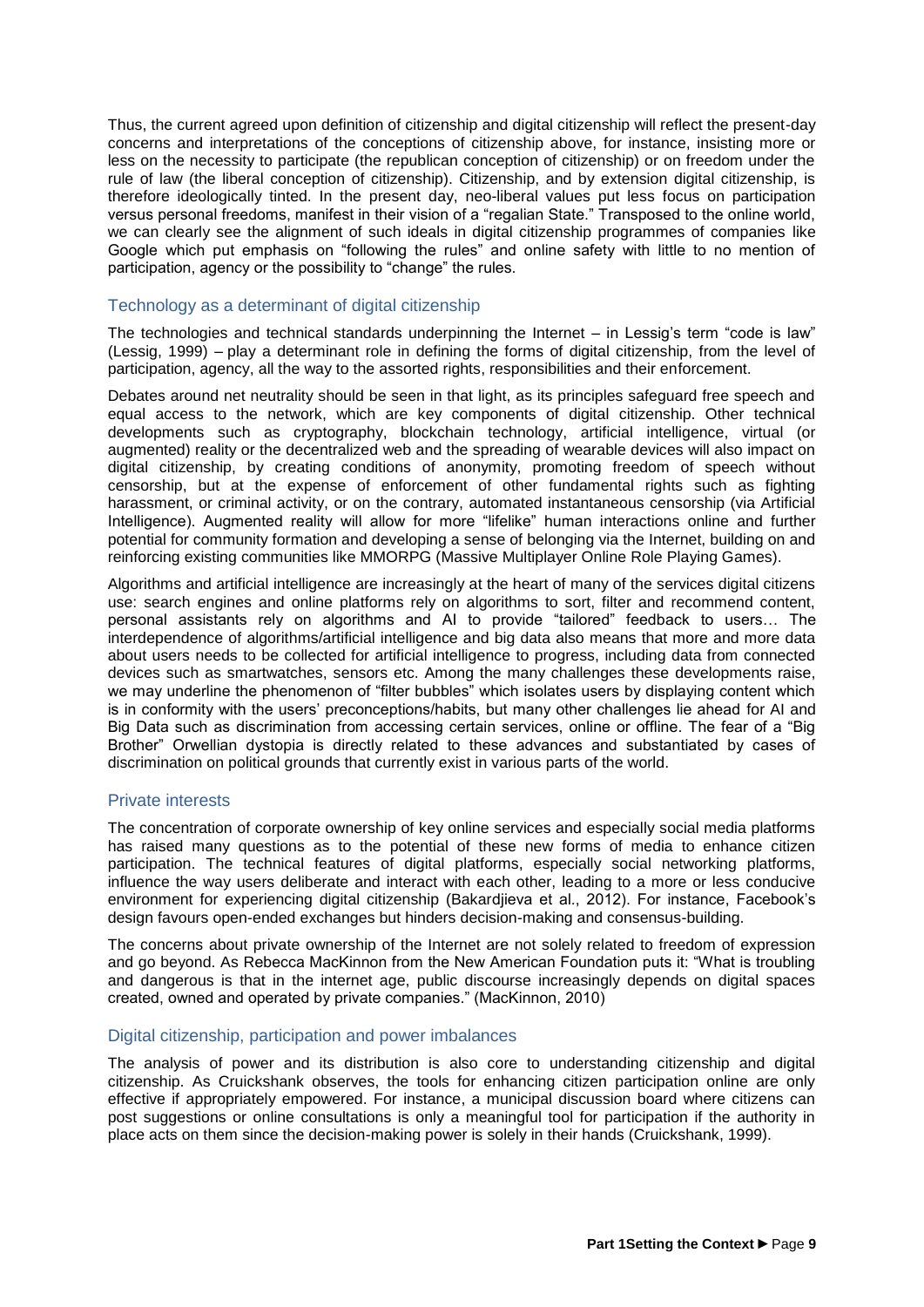Thus, the current agreed upon definition of citizenship and digital citizenship will reflect the present-day concerns and interpretations of the conceptions of citizenship above, for instance, insisting more or less on the necessity to participate (the republican conception of citizenship) or on freedom under the rule of law (the liberal conception of citizenship). Citizenship, and by extension digital citizenship, is therefore ideologically tinted. In the present day, neo-liberal values put less focus on participation versus personal freedoms, manifest in their vision of a "regalian State." Transposed to the online world, we can clearly see the alignment of such ideals in digital citizenship programmes of companies like Google which put emphasis on "following the rules" and online safety with little to no mention of participation, agency or the possibility to "change" the rules.

### <span id="page-8-0"></span>Technology as a determinant of digital citizenship

The technologies and technical standards underpinning the Internet – in Lessig's term "code is law" (Lessig, 1999) – play a determinant role in defining the forms of digital citizenship, from the level of participation, agency, all the way to the assorted rights, responsibilities and their enforcement.

Debates around net neutrality should be seen in that light, as its principles safeguard free speech and equal access to the network, which are key components of digital citizenship. Other technical developments such as cryptography, blockchain technology, artificial intelligence, virtual (or augmented) reality or the decentralized web and the spreading of wearable devices will also impact on digital citizenship, by creating conditions of anonymity, promoting freedom of speech without censorship, but at the expense of enforcement of other fundamental rights such as fighting harassment, or criminal activity, or on the contrary, automated instantaneous censorship (via Artificial Intelligence). Augmented reality will allow for more "lifelike" human interactions online and further potential for community formation and developing a sense of belonging via the Internet, building on and reinforcing existing communities like MMORPG (Massive Multiplayer Online Role Playing Games).

Algorithms and artificial intelligence are increasingly at the heart of many of the services digital citizens use: search engines and online platforms rely on algorithms to sort, filter and recommend content, personal assistants rely on algorithms and AI to provide "tailored" feedback to users… The interdependence of algorithms/artificial intelligence and big data also means that more and more data about users needs to be collected for artificial intelligence to progress, including data from connected devices such as smartwatches, sensors etc. Among the many challenges these developments raise, we may underline the phenomenon of "filter bubbles" which isolates users by displaying content which is in conformity with the users' preconceptions/habits, but many other challenges lie ahead for AI and Big Data such as discrimination from accessing certain services, online or offline. The fear of a "Big Brother" Orwellian dystopia is directly related to these advances and substantiated by cases of discrimination on political grounds that currently exist in various parts of the world.

### <span id="page-8-1"></span>Private interests

The concentration of corporate ownership of key online services and especially social media platforms has raised many questions as to the potential of these new forms of media to enhance citizen participation. The technical features of digital platforms, especially social networking platforms, influence the way users deliberate and interact with each other, leading to a more or less conducive environment for experiencing digital citizenship (Bakardjieva et al., 2012). For instance, Facebook's design favours open-ended exchanges but hinders decision-making and consensus-building.

The concerns about private ownership of the Internet are not solely related to freedom of expression and go beyond. As Rebecca MacKinnon from the New American Foundation puts it: "What is troubling and dangerous is that in the internet age, public discourse increasingly depends on digital spaces created, owned and operated by private companies." (MacKinnon, 2010)

### <span id="page-8-2"></span>Digital citizenship, participation and power imbalances

The analysis of power and its distribution is also core to understanding citizenship and digital citizenship. As Cruickshank observes, the tools for enhancing citizen participation online are only effective if appropriately empowered. For instance, a municipal discussion board where citizens can post suggestions or online consultations is only a meaningful tool for participation if the authority in place acts on them since the decision-making power is solely in their hands (Cruickshank, 1999).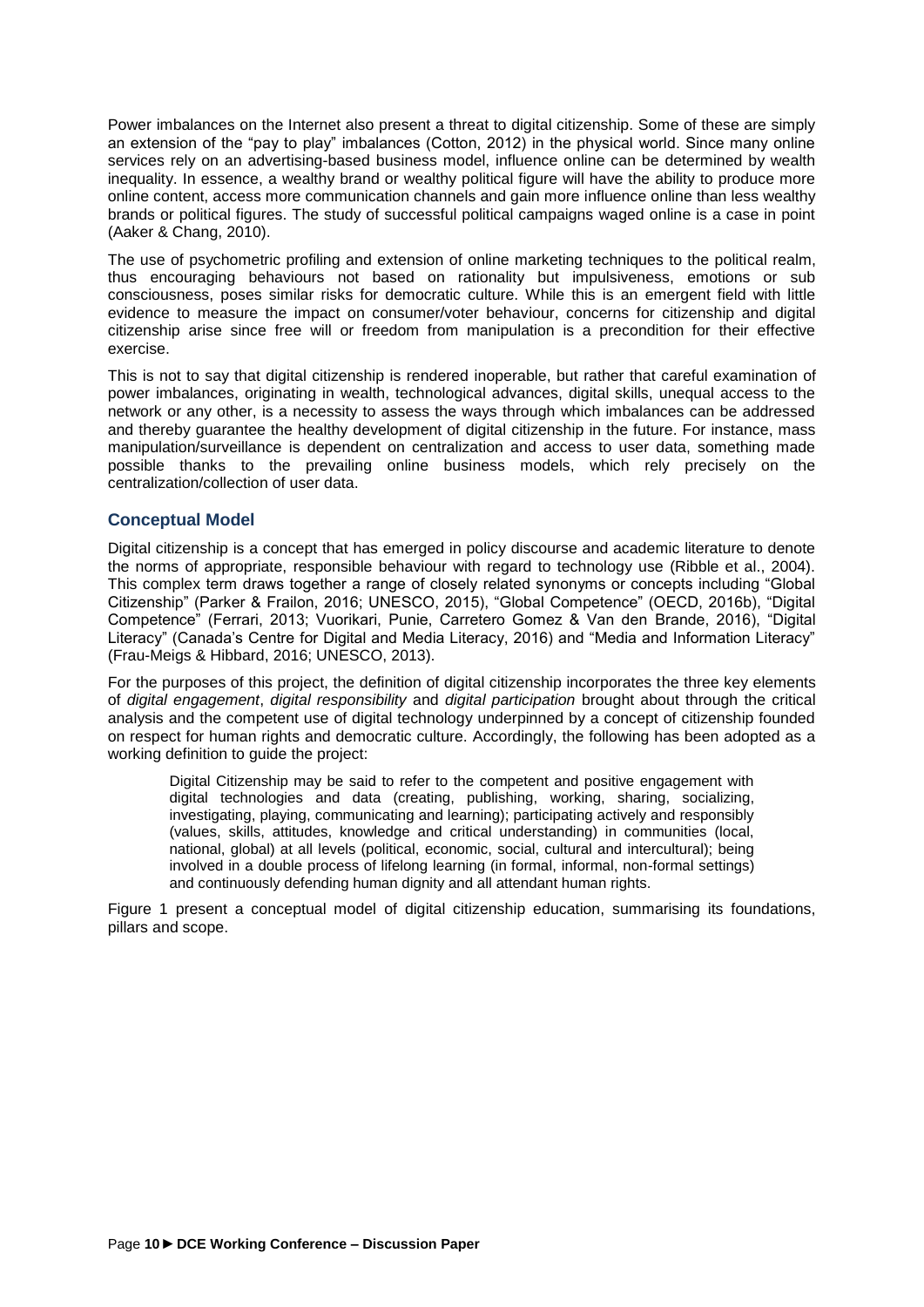Power imbalances on the Internet also present a threat to digital citizenship. Some of these are simply an extension of the "pay to play" imbalances (Cotton, 2012) in the physical world. Since many online services rely on an advertising-based business model, influence online can be determined by wealth inequality. In essence, a wealthy brand or wealthy political figure will have the ability to produce more online content, access more communication channels and gain more influence online than less wealthy brands or political figures. The study of successful political campaigns waged online is a case in point (Aaker & Chang, 2010).

The use of psychometric profiling and extension of online marketing techniques to the political realm, thus encouraging behaviours not based on rationality but impulsiveness, emotions or sub consciousness, poses similar risks for democratic culture. While this is an emergent field with little evidence to measure the impact on consumer/voter behaviour, concerns for citizenship and digital citizenship arise since free will or freedom from manipulation is a precondition for their effective exercise.

This is not to say that digital citizenship is rendered inoperable, but rather that careful examination of power imbalances, originating in wealth, technological advances, digital skills, unequal access to the network or any other, is a necessity to assess the ways through which imbalances can be addressed and thereby guarantee the healthy development of digital citizenship in the future. For instance, mass manipulation/surveillance is dependent on centralization and access to user data, something made possible thanks to the prevailing online business models, which rely precisely on the centralization/collection of user data.

### <span id="page-9-0"></span>**Conceptual Model**

Digital citizenship is a concept that has emerged in policy discourse and academic literature to denote the norms of appropriate, responsible behaviour with regard to technology use (Ribble et al., 2004). This complex term draws together a range of closely related synonyms or concepts including "Global Citizenship" (Parker & Frailon, 2016; UNESCO, 2015), "Global Competence" (OECD, 2016b), "Digital Competence" (Ferrari, 2013; Vuorikari, Punie, Carretero Gomez & Van den Brande, 2016), "Digital Literacy" (Canada's Centre for Digital and Media Literacy, 2016) and "Media and Information Literacy" (Frau-Meigs & Hibbard, 2016; UNESCO, 2013).

For the purposes of this project, the definition of digital citizenship incorporates the three key elements of *digital engagement*, *digital responsibility* and *digital participation* brought about through the critical analysis and the competent use of digital technology underpinned by a concept of citizenship founded on respect for human rights and democratic culture. Accordingly, the following has been adopted as a working definition to guide the project:

Digital Citizenship may be said to refer to the competent and positive engagement with digital technologies and data (creating, publishing, working, sharing, socializing, investigating, playing, communicating and learning); participating actively and responsibly (values, skills, attitudes, knowledge and critical understanding) in communities (local, national, global) at all levels (political, economic, social, cultural and intercultural); being involved in a double process of lifelong learning (in formal, informal, non-formal settings) and continuously defending human dignity and all attendant human rights.

Figure 1 present a conceptual model of digital citizenship education, summarising its foundations, pillars and scope.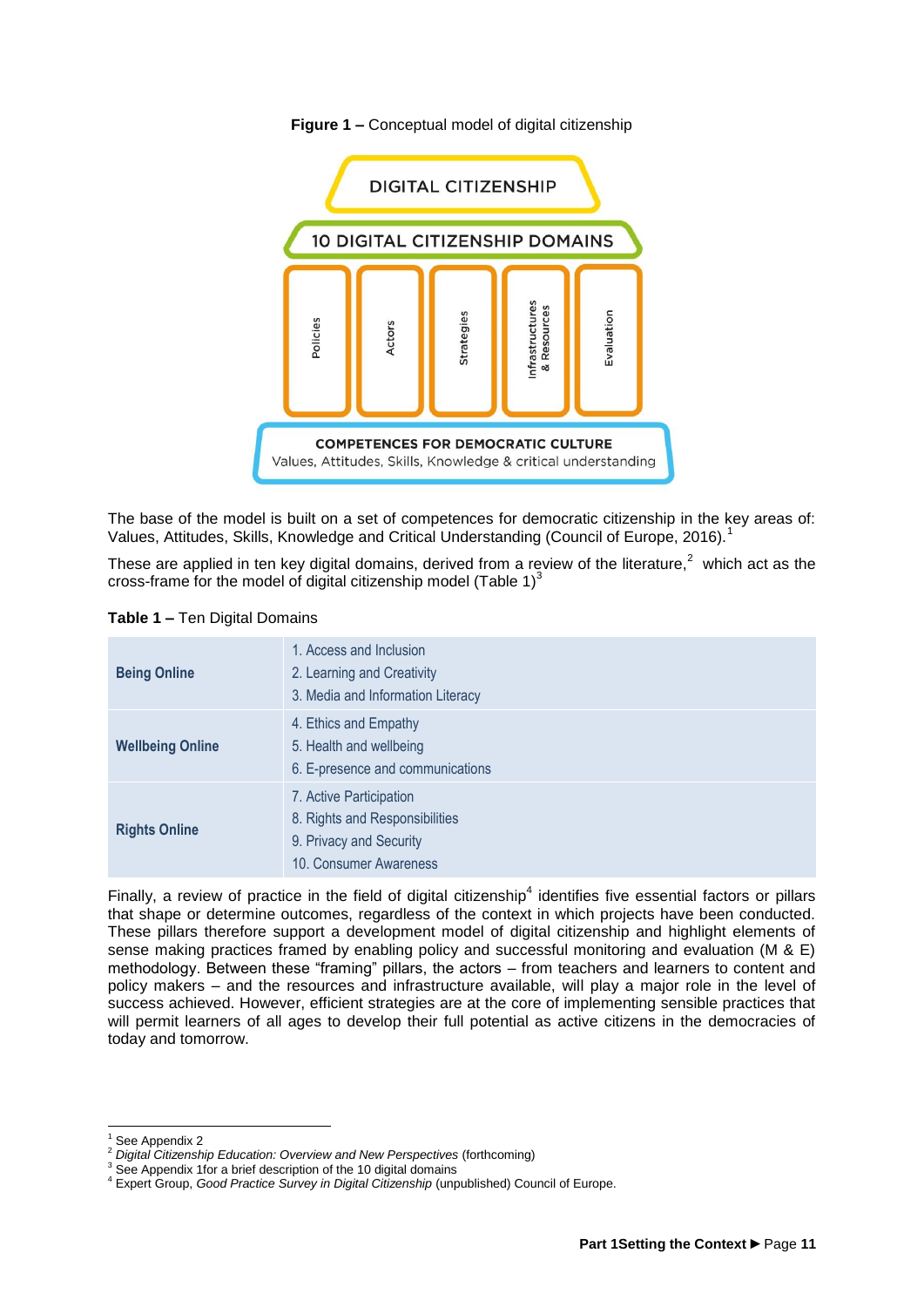

#### **Figure 1 –** Conceptual model of digital citizenship

The base of the model is built on a set of competences for democratic citizenship in the key areas of: Values, Attitudes, Skills, Knowledge and Critical Understanding (Council of Europe, 2016).<sup>1</sup>

These are applied in ten key digital domains, derived from a review of the literature,<sup>2</sup> which act as the cross-frame for the model of digital citizenship model (Table 1) $^3$ 

|  | <b>Table 1 – Ten Digital Domains</b> |
|--|--------------------------------------|
|--|--------------------------------------|

| <b>Being Online</b>     | 1. Access and Inclusion<br>2. Learning and Creativity<br>3. Media and Information Literacy                     |
|-------------------------|----------------------------------------------------------------------------------------------------------------|
| <b>Wellbeing Online</b> | 4. Ethics and Empathy<br>5. Health and wellbeing<br>6. E-presence and communications                           |
| <b>Rights Online</b>    | 7. Active Participation<br>8. Rights and Responsibilities<br>9. Privacy and Security<br>10. Consumer Awareness |

Finally, a review of practice in the field of digital citizenship<sup>4</sup> identifies five essential factors or pillars that shape or determine outcomes, regardless of the context in which projects have been conducted. These pillars therefore support a development model of digital citizenship and highlight elements of sense making practices framed by enabling policy and successful monitoring and evaluation (M & E) methodology. Between these "framing" pillars, the actors – from teachers and learners to content and policy makers – and the resources and infrastructure available, will play a major role in the level of success achieved. However, efficient strategies are at the core of implementing sensible practices that will permit learners of all ages to develop their full potential as active citizens in the democracies of today and tomorrow.

 $\overline{a}$ 

See Appendix 2

<sup>2</sup> *Digital Citizenship Education: Overview and New Perspectives* (forthcoming)

 $3$  See Appendix 1 for a brief description of the 10 digital domains

<sup>4</sup> Expert Group, *Good Practice Survey in Digital Citizenship* (unpublished) Council of Europe.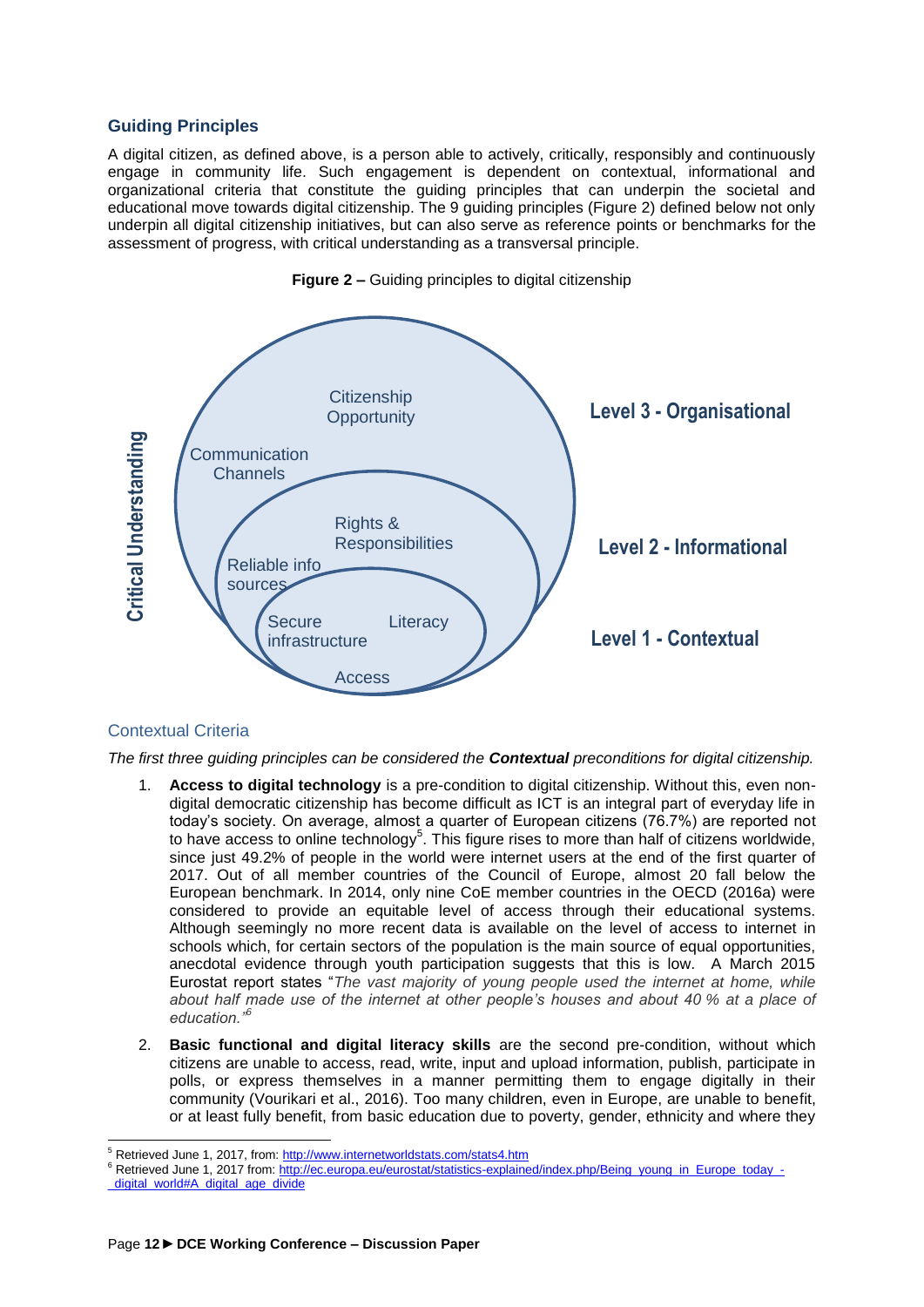### <span id="page-11-0"></span>**Guiding Principles**

A digital citizen, as defined above, is a person able to actively, critically, responsibly and continuously engage in community life. Such engagement is dependent on contextual, informational and organizational criteria that constitute the guiding principles that can underpin the societal and educational move towards digital citizenship. The 9 guiding principles (Figure 2) defined below not only underpin all digital citizenship initiatives, but can also serve as reference points or benchmarks for the assessment of progress, with critical understanding as a transversal principle.





### <span id="page-11-1"></span>Contextual Criteria

*The first three guiding principles can be considered the Contextual preconditions for digital citizenship.*

- 1. **Access to digital technology** is a pre-condition to digital citizenship. Without this, even nondigital democratic citizenship has become difficult as ICT is an integral part of everyday life in today's society. On average, almost a quarter of European citizens (76.7%) are reported not to have access to online technology<sup>5</sup>. This figure rises to more than half of citizens worldwide, since just 49.2% of people in the world were internet users at the end of the first quarter of 2017. Out of all member countries of the Council of Europe, almost 20 fall below the European benchmark. In 2014, only nine CoE member countries in the OECD (2016a) were considered to provide an equitable level of access through their educational systems. Although seemingly no more recent data is available on the level of access to internet in schools which, for certain sectors of the population is the main source of equal opportunities, anecdotal evidence through youth participation suggests that this is low. A March 2015 Eurostat report states "*The vast majority of young people used the internet at home, while about half made use of the internet at other people's houses and about 40 % at a place of education."<sup>6</sup>*
- 2. **Basic functional and digital literacy skills** are the second pre-condition, without which citizens are unable to access, read, write, input and upload information, publish, participate in polls, or express themselves in a manner permitting them to engage digitally in their community (Vourikari et al., 2016). Too many children, even in Europe, are unable to benefit, or at least fully benefit, from basic education due to poverty, gender, ethnicity and where they

6 Retrieved June 1, 2017 from: [http://ec.europa.eu/eurostat/statistics-explained/index.php/Being\\_young\\_in\\_Europe\\_today\\_-](http://ec.europa.eu/eurostat/statistics-explained/index.php/Being_young_in_Europe_today_-_digital_world#A_digital_age_divide)

 $\overline{a}$ <sup>5</sup> Retrieved June 1, 2017, from:<http://www.internetworldstats.com/stats4.htm>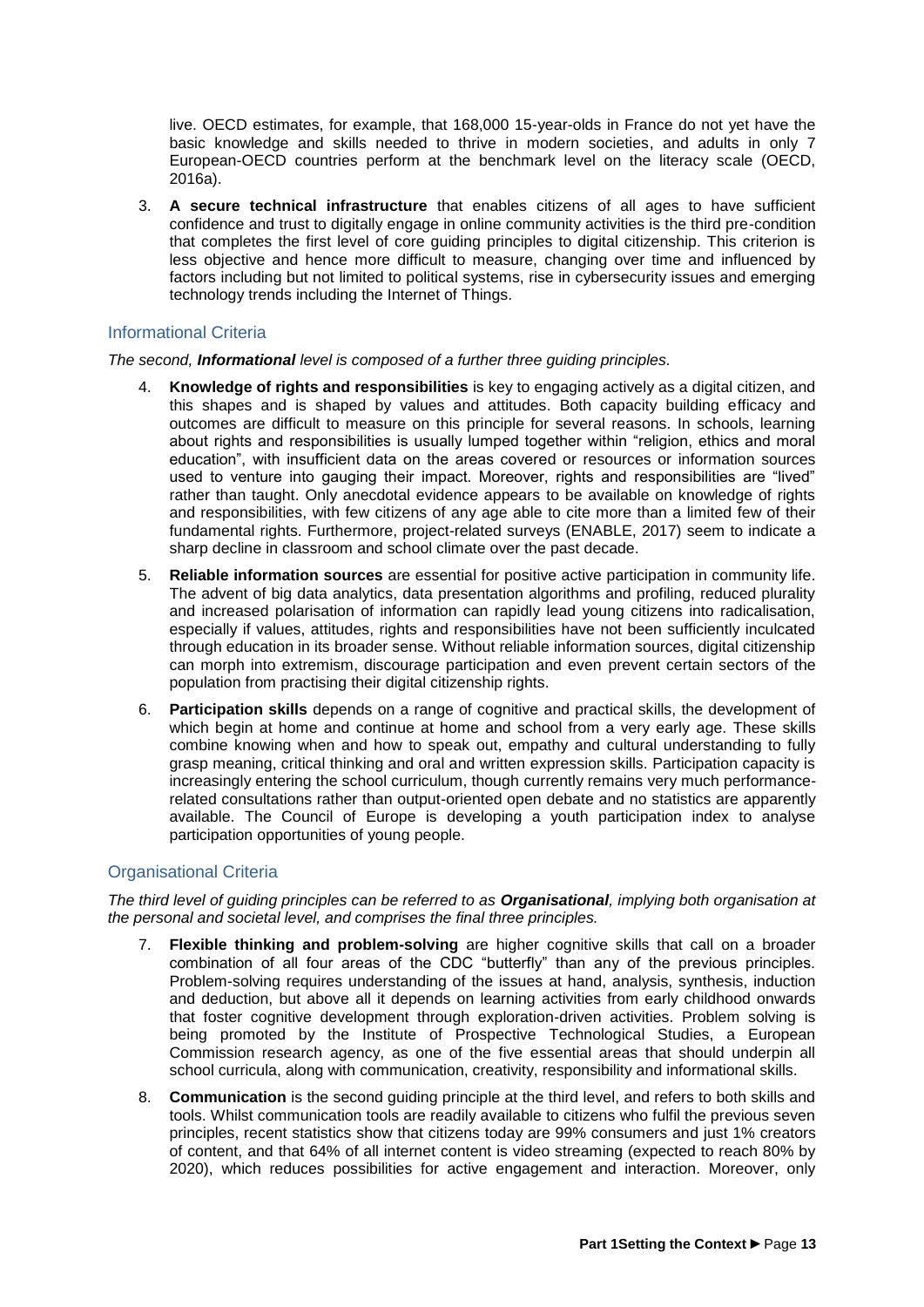live. OECD estimates, for example, that 168,000 15-year-olds in France do not yet have the basic knowledge and skills needed to thrive in modern societies, and adults in only 7 European-OECD countries perform at the benchmark level on the literacy scale (OECD, 2016a).

3. **A secure technical infrastructure** that enables citizens of all ages to have sufficient confidence and trust to digitally engage in online community activities is the third pre-condition that completes the first level of core guiding principles to digital citizenship. This criterion is less objective and hence more difficult to measure, changing over time and influenced by factors including but not limited to political systems, rise in cybersecurity issues and emerging technology trends including the Internet of Things.

### <span id="page-12-0"></span>Informational Criteria

*The second, Informational level is composed of a further three guiding principles.*

- 4. **Knowledge of rights and responsibilities** is key to engaging actively as a digital citizen, and this shapes and is shaped by values and attitudes. Both capacity building efficacy and outcomes are difficult to measure on this principle for several reasons. In schools, learning about rights and responsibilities is usually lumped together within "religion, ethics and moral education", with insufficient data on the areas covered or resources or information sources used to venture into gauging their impact. Moreover, rights and responsibilities are "lived" rather than taught. Only anecdotal evidence appears to be available on knowledge of rights and responsibilities, with few citizens of any age able to cite more than a limited few of their fundamental rights. Furthermore, project-related surveys (ENABLE, 2017) seem to indicate a sharp decline in classroom and school climate over the past decade.
- 5. **Reliable information sources** are essential for positive active participation in community life. The advent of big data analytics, data presentation algorithms and profiling, reduced plurality and increased polarisation of information can rapidly lead young citizens into radicalisation, especially if values, attitudes, rights and responsibilities have not been sufficiently inculcated through education in its broader sense. Without reliable information sources, digital citizenship can morph into extremism, discourage participation and even prevent certain sectors of the population from practising their digital citizenship rights.
- 6. **Participation skills** depends on a range of cognitive and practical skills, the development of which begin at home and continue at home and school from a very early age. These skills combine knowing when and how to speak out, empathy and cultural understanding to fully grasp meaning, critical thinking and oral and written expression skills. Participation capacity is increasingly entering the school curriculum, though currently remains very much performancerelated consultations rather than output-oriented open debate and no statistics are apparently available. The Council of Europe is developing a youth participation index to analyse participation opportunities of young people.

### <span id="page-12-1"></span>Organisational Criteria

*The third level of guiding principles can be referred to as Organisational, implying both organisation at the personal and societal level, and comprises the final three principles.*

- 7. **Flexible thinking and problem-solving** are higher cognitive skills that call on a broader combination of all four areas of the CDC "butterfly" than any of the previous principles. Problem-solving requires understanding of the issues at hand, analysis, synthesis, induction and deduction, but above all it depends on learning activities from early childhood onwards that foster cognitive development through exploration-driven activities. Problem solving is being promoted by the Institute of Prospective Technological Studies, a European Commission research agency, as one of the five essential areas that should underpin all school curricula, along with communication, creativity, responsibility and informational skills.
- 8. **Communication** is the second guiding principle at the third level, and refers to both skills and tools. Whilst communication tools are readily available to citizens who fulfil the previous seven principles, recent statistics show that citizens today are 99% consumers and just 1% creators of content, and that 64% of all internet content is video streaming (expected to reach 80% by 2020), which reduces possibilities for active engagement and interaction. Moreover, only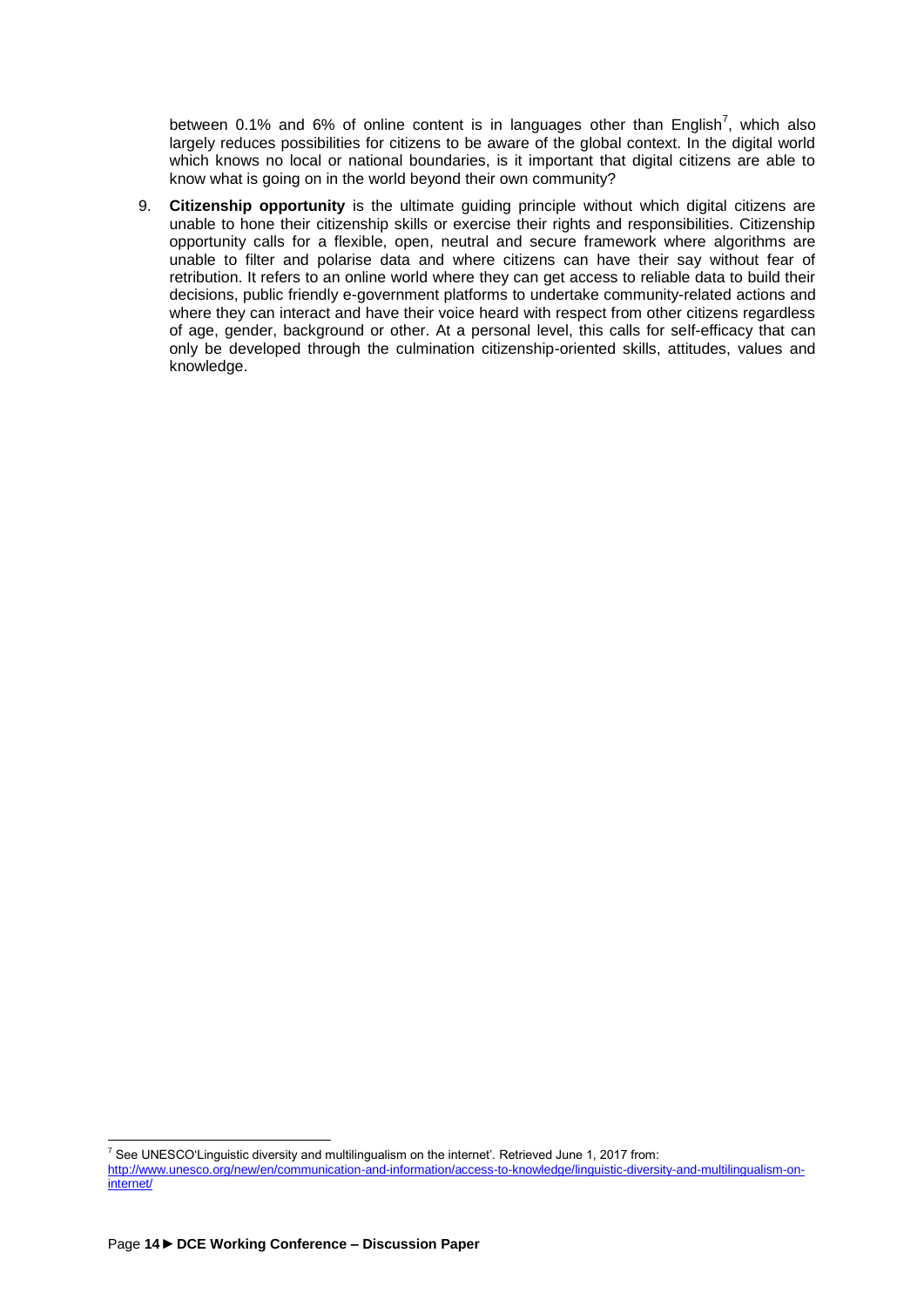between 0.1% and 6% of online content is in languages other than English<sup>7</sup>, which also largely reduces possibilities for citizens to be aware of the global context. In the digital world which knows no local or national boundaries, is it important that digital citizens are able to know what is going on in the world beyond their own community?

9. **Citizenship opportunity** is the ultimate guiding principle without which digital citizens are unable to hone their citizenship skills or exercise their rights and responsibilities. Citizenship opportunity calls for a flexible, open, neutral and secure framework where algorithms are unable to filter and polarise data and where citizens can have their say without fear of retribution. It refers to an online world where they can get access to reliable data to build their decisions, public friendly e-government platforms to undertake community-related actions and where they can interact and have their voice heard with respect from other citizens regardless of age, gender, background or other. At a personal level, this calls for self-efficacy that can only be developed through the culmination citizenship-oriented skills, attitudes, values and knowledge.

 $\overline{a}$  $^7$  See UNESCO'Linguistic diversity and multilingualism on the internet'. Retrieved June 1, 2017 from: [http://www.unesco.org/new/en/communication-and-information/access-to-knowledge/linguistic-diversity-and-multilingualism-on](http://www.unesco.org/new/en/communication-and-information/access-to-knowledge/linguistic-diversity-and-multilingualism-on-internet/)[internet/](http://www.unesco.org/new/en/communication-and-information/access-to-knowledge/linguistic-diversity-and-multilingualism-on-internet/)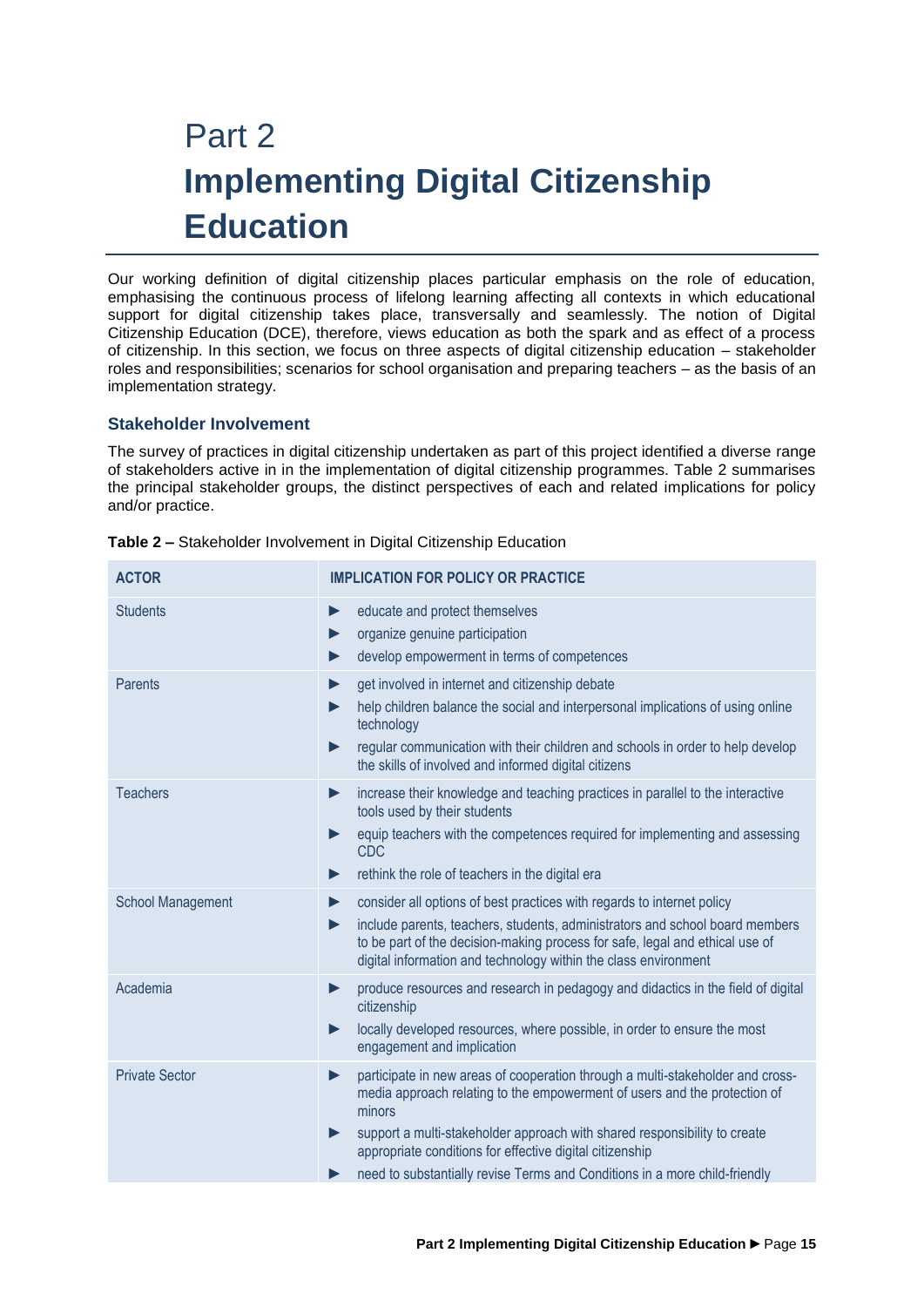## <span id="page-14-0"></span>Part 2 **Implementing Digital Citizenship Education**

Our working definition of digital citizenship places particular emphasis on the role of education, emphasising the continuous process of lifelong learning affecting all contexts in which educational support for digital citizenship takes place, transversally and seamlessly. The notion of Digital Citizenship Education (DCE), therefore, views education as both the spark and as effect of a process of citizenship. In this section, we focus on three aspects of digital citizenship education – stakeholder roles and responsibilities; scenarios for school organisation and preparing teachers – as the basis of an implementation strategy.

### <span id="page-14-1"></span>**Stakeholder Involvement**

The survey of practices in digital citizenship undertaken as part of this project identified a diverse range of stakeholders active in in the implementation of digital citizenship programmes. Table 2 summarises the principal stakeholder groups, the distinct perspectives of each and related implications for policy and/or practice.

| <b>ACTOR</b>             | <b>IMPLICATION FOR POLICY OR PRACTICE</b>                                                                                                                                                                                                                                                                                                                                                                                                      |
|--------------------------|------------------------------------------------------------------------------------------------------------------------------------------------------------------------------------------------------------------------------------------------------------------------------------------------------------------------------------------------------------------------------------------------------------------------------------------------|
| <b>Students</b>          | educate and protect themselves<br>$\blacktriangleright$<br>organize genuine participation<br>develop empowerment in terms of competences                                                                                                                                                                                                                                                                                                       |
| <b>Parents</b>           | get involved in internet and citizenship debate<br>help children balance the social and interpersonal implications of using online<br>technology<br>regular communication with their children and schools in order to help develop<br>the skills of involved and informed digital citizens                                                                                                                                                     |
| <b>Teachers</b>          | increase their knowledge and teaching practices in parallel to the interactive<br>▶<br>tools used by their students<br>equip teachers with the competences required for implementing and assessing<br><b>CDC</b><br>rethink the role of teachers in the digital era<br>▶                                                                                                                                                                       |
| <b>School Management</b> | consider all options of best practices with regards to internet policy<br>include parents, teachers, students, administrators and school board members<br>▶<br>to be part of the decision-making process for safe, legal and ethical use of<br>digital information and technology within the class environment                                                                                                                                 |
| Academia                 | produce resources and research in pedagogy and didactics in the field of digital<br>$\blacktriangleright$<br>citizenship<br>locally developed resources, where possible, in order to ensure the most<br>$\blacktriangleright$<br>engagement and implication                                                                                                                                                                                    |
| <b>Private Sector</b>    | participate in new areas of cooperation through a multi-stakeholder and cross-<br>$\blacktriangleright$<br>media approach relating to the empowerment of users and the protection of<br>minors<br>support a multi-stakeholder approach with shared responsibility to create<br>$\blacktriangleright$<br>appropriate conditions for effective digital citizenship<br>need to substantially revise Terms and Conditions in a more child-friendly |

| Table 2 - Stakeholder Involvement in Digital Citizenship Education |  |
|--------------------------------------------------------------------|--|
|                                                                    |  |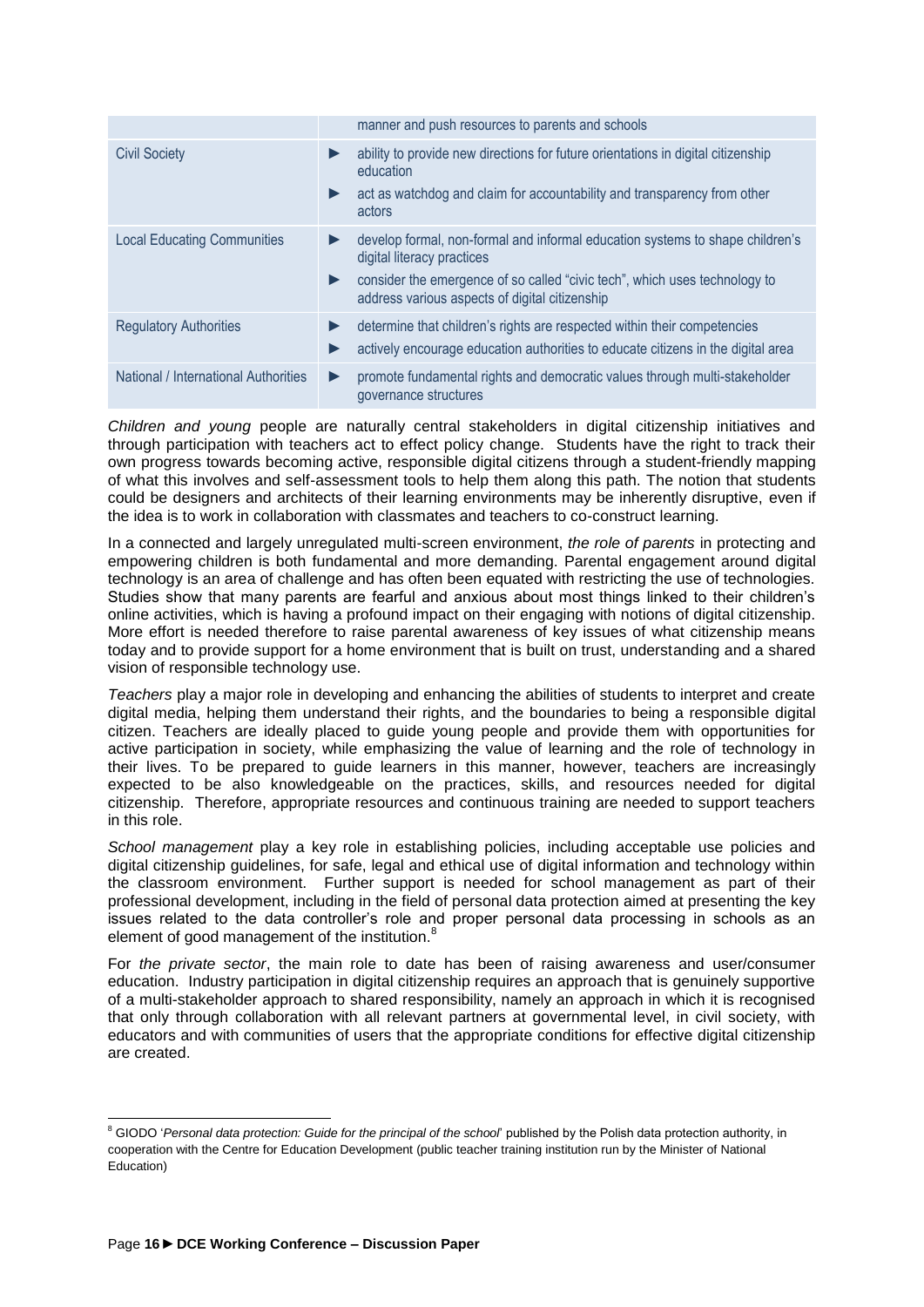|                                      | manner and push resources to parents and schools                                                                                                                                                                                                      |
|--------------------------------------|-------------------------------------------------------------------------------------------------------------------------------------------------------------------------------------------------------------------------------------------------------|
| <b>Civil Society</b>                 | ability to provide new directions for future orientations in digital citizenship<br>▶<br>education<br>act as watchdog and claim for accountability and transparency from other<br>▶<br>actors                                                         |
| <b>Local Educating Communities</b>   | develop formal, non-formal and informal education systems to shape children's<br>▶<br>digital literacy practices<br>consider the emergence of so called "civic tech", which uses technology to<br>▶<br>address various aspects of digital citizenship |
| <b>Regulatory Authorities</b>        | determine that children's rights are respected within their competencies<br>▶<br>actively encourage education authorities to educate citizens in the digital area                                                                                     |
| National / International Authorities | promote fundamental rights and democratic values through multi-stakeholder<br>$\blacktriangleright$<br>governance structures                                                                                                                          |

*Children and young* people are naturally central stakeholders in digital citizenship initiatives and through participation with teachers act to effect policy change. Students have the right to track their own progress towards becoming active, responsible digital citizens through a student-friendly mapping of what this involves and self-assessment tools to help them along this path. The notion that students could be designers and architects of their learning environments may be inherently disruptive, even if the idea is to work in collaboration with classmates and teachers to co-construct learning.

In a connected and largely unregulated multi-screen environment, *the role of parents* in protecting and empowering children is both fundamental and more demanding. Parental engagement around digital technology is an area of challenge and has often been equated with restricting the use of technologies. Studies show that many parents are fearful and anxious about most things linked to their children's online activities, which is having a profound impact on their engaging with notions of digital citizenship. More effort is needed therefore to raise parental awareness of key issues of what citizenship means today and to provide support for a home environment that is built on trust, understanding and a shared vision of responsible technology use.

*Teachers* play a major role in developing and enhancing the abilities of students to interpret and create digital media, helping them understand their rights, and the boundaries to being a responsible digital citizen. Teachers are ideally placed to guide young people and provide them with opportunities for active participation in society, while emphasizing the value of learning and the role of technology in their lives. To be prepared to guide learners in this manner, however, teachers are increasingly expected to be also knowledgeable on the practices, skills, and resources needed for digital citizenship. Therefore, appropriate resources and continuous training are needed to support teachers in this role.

*School management* play a key role in establishing policies, including acceptable use policies and digital citizenship guidelines, for safe, legal and ethical use of digital information and technology within the classroom environment. Further support is needed for school management as part of their professional development, including in the field of personal data protection aimed at presenting the key issues related to the data controller's role and proper personal data processing in schools as an element of good management of the institution.<sup>8</sup>

For *the private sector*, the main role to date has been of raising awareness and user/consumer education. Industry participation in digital citizenship requires an approach that is genuinely supportive of a multi-stakeholder approach to shared responsibility, namely an approach in which it is recognised that only through collaboration with all relevant partners at governmental level, in civil society, with educators and with communities of users that the appropriate conditions for effective digital citizenship are created.

 $\overline{a}$ 

<sup>&</sup>lt;sup>8</sup> GIODO *'Personal data protection: Guide for the principal of the school'* published by the Polish data protection authority, in cooperation with the Centre for Education Development (public teacher training institution run by the Minister of National Education)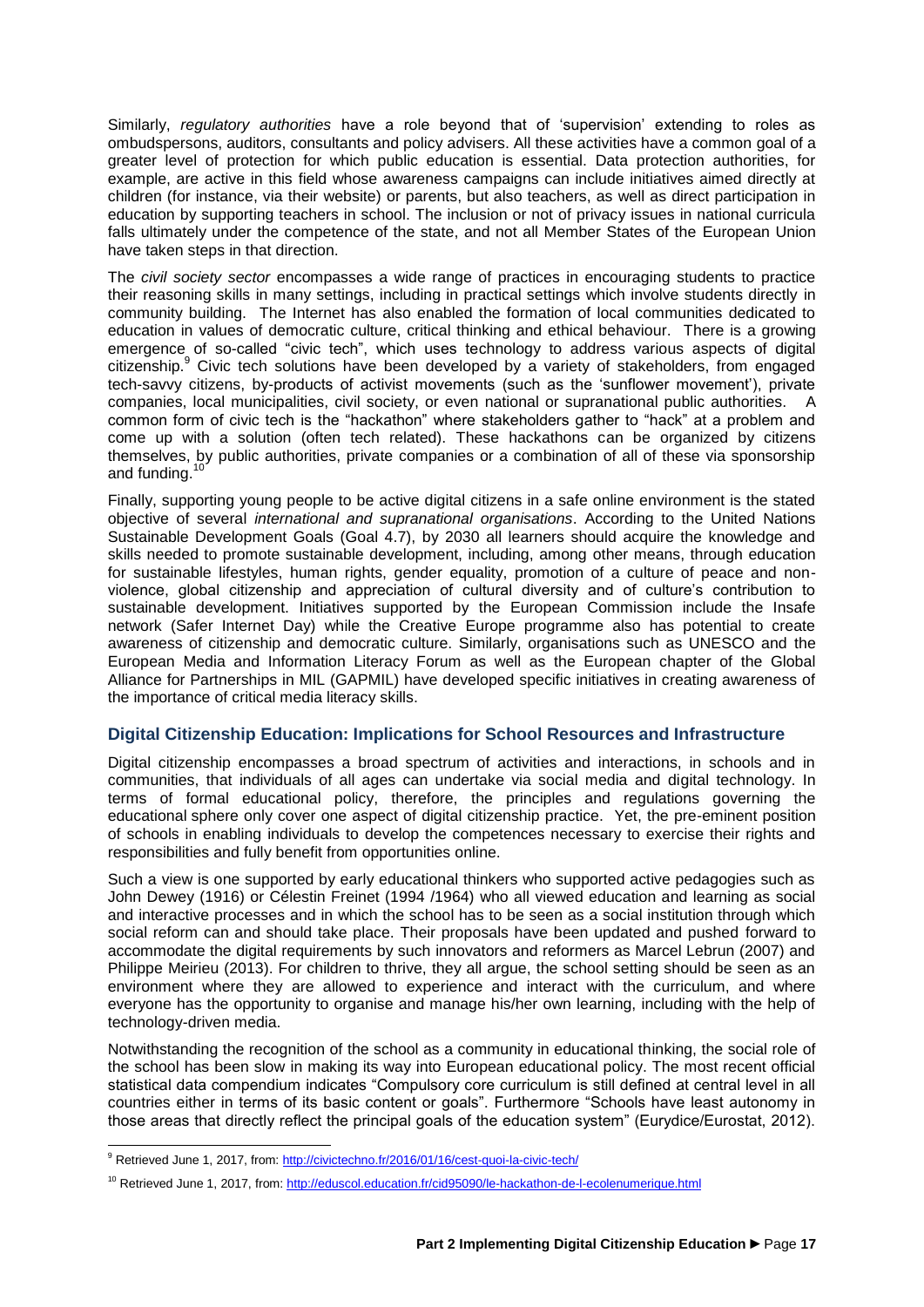Similarly, *regulatory authorities* have a role beyond that of 'supervision' extending to roles as ombudspersons, auditors, consultants and policy advisers. All these activities have a common goal of a greater level of protection for which public education is essential. Data protection authorities, for example, are active in this field whose awareness campaigns can include initiatives aimed directly at children (for instance, via their website) or parents, but also teachers, as well as direct participation in education by supporting teachers in school. The inclusion or not of privacy issues in national curricula falls ultimately under the competence of the state, and not all Member States of the European Union have taken steps in that direction.

The *civil society sector* encompasses a wide range of practices in encouraging students to practice their reasoning skills in many settings, including in practical settings which involve students directly in community building. The Internet has also enabled the formation of local communities dedicated to education in values of democratic culture, critical thinking and ethical behaviour. There is a growing emergence of so-called "civic tech", which uses technology to address various aspects of digital citizenship.<sup>9</sup> Civic tech solutions have been developed by a variety of stakeholders, from engaged tech-savvy citizens, by-products of activist movements (such as the 'sunflower movement'), private companies, local municipalities, civil society, or even national or supranational public authorities. A common form of civic tech is the "hackathon" where stakeholders gather to "hack" at a problem and come up with a solution (often tech related). These hackathons can be organized by citizens themselves, by public authorities, private companies or a combination of all of these via sponsorship and funding.

Finally, supporting young people to be active digital citizens in a safe online environment is the stated objective of several *international and supranational organisations*. According to the United Nations Sustainable Development Goals (Goal 4.7), by 2030 all learners should acquire the knowledge and skills needed to promote sustainable development, including, among other means, through education for sustainable lifestyles, human rights, gender equality, promotion of a culture of peace and nonviolence, global citizenship and appreciation of cultural diversity and of culture's contribution to sustainable development. Initiatives supported by the European Commission include the Insafe network (Safer Internet Day) while the Creative Europe programme also has potential to create awareness of citizenship and democratic culture. Similarly, organisations such as UNESCO and the European Media and Information Literacy Forum as well as the European chapter of the Global Alliance for Partnerships in MIL (GAPMIL) have developed specific initiatives in creating awareness of the importance of critical media literacy skills.

### <span id="page-16-0"></span>**Digital Citizenship Education: Implications for School Resources and Infrastructure**

Digital citizenship encompasses a broad spectrum of activities and interactions, in schools and in communities, that individuals of all ages can undertake via social media and digital technology. In terms of formal educational policy, therefore, the principles and regulations governing the educational sphere only cover one aspect of digital citizenship practice. Yet, the pre-eminent position of schools in enabling individuals to develop the competences necessary to exercise their rights and responsibilities and fully benefit from opportunities online.

Such a view is one supported by early educational thinkers who supported active pedagogies such as John Dewey (1916) or Célestin Freinet (1994 /1964) who all viewed education and learning as social and interactive processes and in which the school has to be seen as a social institution through which social reform can and should take place. Their proposals have been updated and pushed forward to accommodate the digital requirements by such innovators and reformers as Marcel Lebrun (2007) and Philippe Meirieu (2013). For children to thrive, they all argue, the school setting should be seen as an environment where they are allowed to experience and interact with the curriculum, and where everyone has the opportunity to organise and manage his/her own learning, including with the help of technology-driven media.

Notwithstanding the recognition of the school as a community in educational thinking, the social role of the school has been slow in making its way into European educational policy. The most recent official statistical data compendium indicates "Compulsory core curriculum is still defined at central level in all countries either in terms of its basic content or goals". Furthermore "Schools have least autonomy in those areas that directly reflect the principal goals of the education system" (Eurydice/Eurostat, 2012).

 $\overline{a}$ 

<sup>&</sup>lt;sup>9</sup> Retrieved June 1, 2017, from:<http://civictechno.fr/2016/01/16/cest-quoi-la-civic-tech/>

<sup>&</sup>lt;sup>10</sup> Retrieved June 1, 2017, from:<http://eduscol.education.fr/cid95090/le-hackathon-de-l-ecolenumerique.html>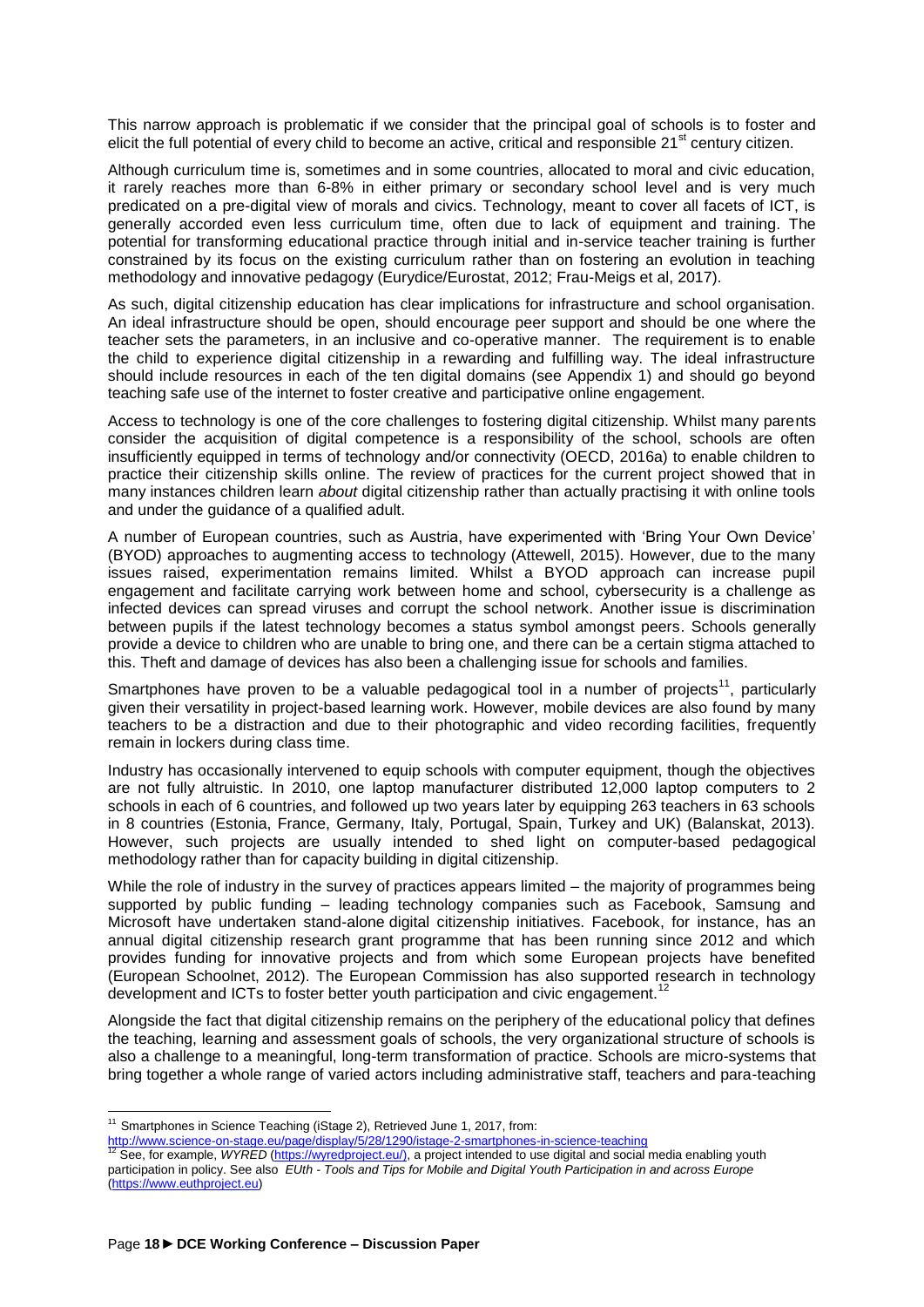This narrow approach is problematic if we consider that the principal goal of schools is to foster and elicit the full potential of every child to become an active, critical and responsible  $21<sup>st</sup>$  century citizen.

Although curriculum time is, sometimes and in some countries, allocated to moral and civic education, it rarely reaches more than 6-8% in either primary or secondary school level and is very much predicated on a pre-digital view of morals and civics. Technology, meant to cover all facets of ICT, is generally accorded even less curriculum time, often due to lack of equipment and training. The potential for transforming educational practice through initial and in-service teacher training is further constrained by its focus on the existing curriculum rather than on fostering an evolution in teaching methodology and innovative pedagogy (Eurydice/Eurostat, 2012; Frau-Meigs et al, 2017).

As such, digital citizenship education has clear implications for infrastructure and school organisation. An ideal infrastructure should be open, should encourage peer support and should be one where the teacher sets the parameters, in an inclusive and co-operative manner. The requirement is to enable the child to experience digital citizenship in a rewarding and fulfilling way. The ideal infrastructure should include resources in each of the ten digital domains (see Appendix 1) and should go beyond teaching safe use of the internet to foster creative and participative online engagement.

Access to technology is one of the core challenges to fostering digital citizenship. Whilst many parents consider the acquisition of digital competence is a responsibility of the school, schools are often insufficiently equipped in terms of technology and/or connectivity (OECD, 2016a) to enable children to practice their citizenship skills online. The review of practices for the current project showed that in many instances children learn *about* digital citizenship rather than actually practising it with online tools and under the guidance of a qualified adult.

A number of European countries, such as Austria, have experimented with 'Bring Your Own Device' (BYOD) approaches to augmenting access to technology (Attewell, 2015). However, due to the many issues raised, experimentation remains limited. Whilst a BYOD approach can increase pupil engagement and facilitate carrying work between home and school, cybersecurity is a challenge as infected devices can spread viruses and corrupt the school network. Another issue is discrimination between pupils if the latest technology becomes a status symbol amongst peers. Schools generally provide a device to children who are unable to bring one, and there can be a certain stigma attached to this. Theft and damage of devices has also been a challenging issue for schools and families.

Smartphones have proven to be a valuable pedagogical tool in a number of projects<sup>11</sup>, particularly given their versatility in project-based learning work. However, mobile devices are also found by many teachers to be a distraction and due to their photographic and video recording facilities, frequently remain in lockers during class time.

Industry has occasionally intervened to equip schools with computer equipment, though the objectives are not fully altruistic. In 2010, one laptop manufacturer distributed 12,000 laptop computers to 2 schools in each of 6 countries, and followed up two years later by equipping 263 teachers in 63 schools in 8 countries (Estonia, France, Germany, Italy, Portugal, Spain, Turkey and UK) (Balanskat, 2013). However, such projects are usually intended to shed light on computer-based pedagogical methodology rather than for capacity building in digital citizenship.

While the role of industry in the survey of practices appears limited – the majority of programmes being supported by public funding – leading technology companies such as Facebook, Samsung and Microsoft have undertaken stand-alone digital citizenship initiatives. Facebook, for instance, has an annual digital citizenship research grant programme that has been running since 2012 and which provides funding for innovative projects and from which some European projects have benefited (European Schoolnet, 2012). The European Commission has also supported research in technology development and ICTs to foster better youth participation and civic engagement.<sup>12</sup>

Alongside the fact that digital citizenship remains on the periphery of the educational policy that defines the teaching, learning and assessment goals of schools, the very organizational structure of schools is also a challenge to a meaningful, long-term transformation of practice. Schools are micro-systems that bring together a whole range of varied actors including administrative staff, teachers and para-teaching

 $11$  Smartphones in Science Teaching (iStage 2), Retrieved June 1, 2017, from:

<http://www.science-on-stage.eu/page/display/5/28/1290/istage-2-smartphones-in-science-teaching> <sup>12</sup> See, for example, *WYRED* [\(https://wyredproject.eu/\),](https://wyredproject.eu/)) a project intended to use digital and social media enabling youth participation in policy. See also *EUth - Tools and Tips for Mobile and Digital Youth Participation in and across Europe* [\(https://www.euthproject.eu\)](https://www.euthproject.eu/)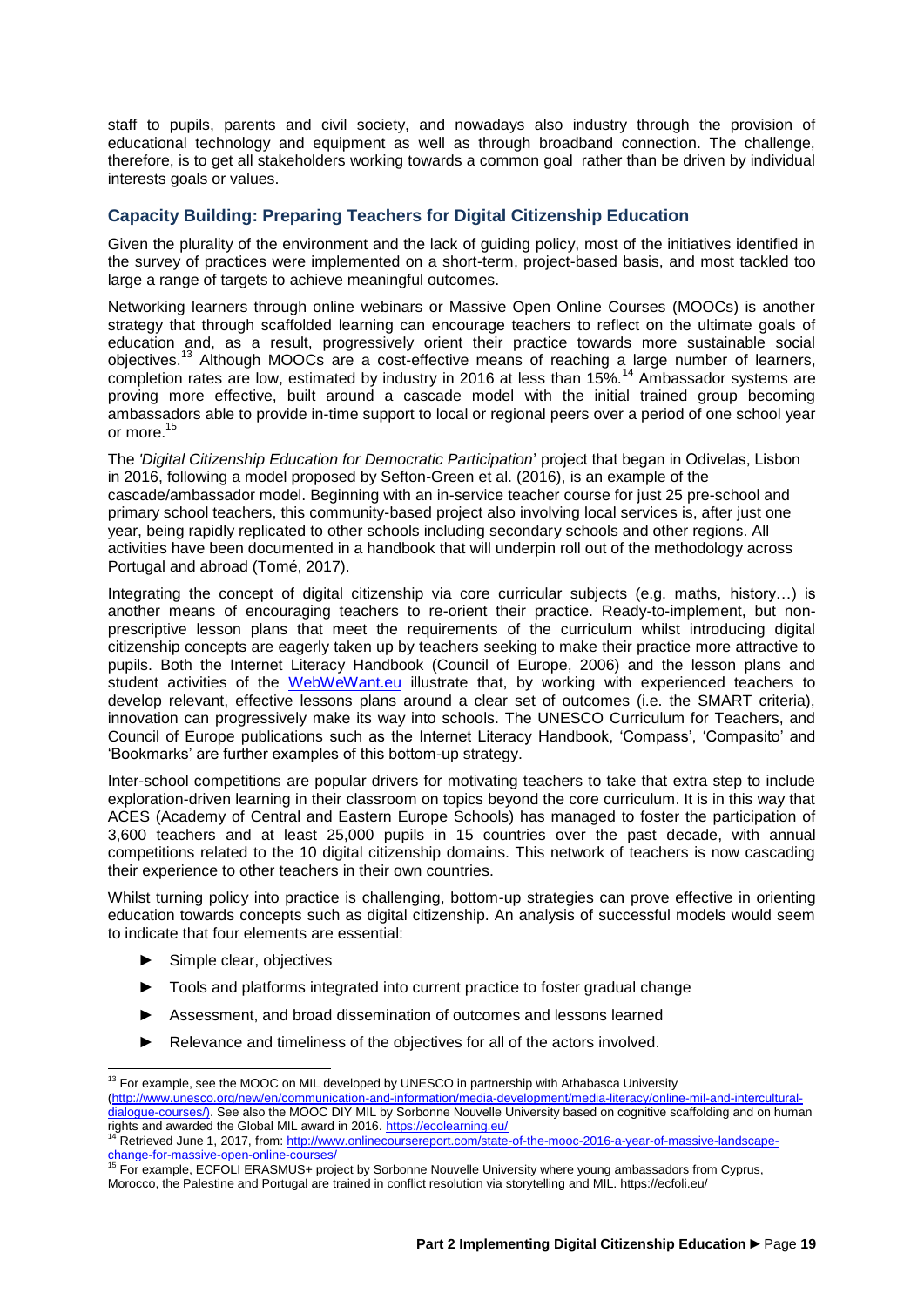staff to pupils, parents and civil society, and nowadays also industry through the provision of educational technology and equipment as well as through broadband connection. The challenge, therefore, is to get all stakeholders working towards a common goal rather than be driven by individual interests goals or values.

### <span id="page-18-0"></span>**Capacity Building: Preparing Teachers for Digital Citizenship Education**

Given the plurality of the environment and the lack of guiding policy, most of the initiatives identified in the survey of practices were implemented on a short-term, project-based basis, and most tackled too large a range of targets to achieve meaningful outcomes.

Networking learners through online webinars or Massive Open Online Courses (MOOCs) is another strategy that through scaffolded learning can encourage teachers to reflect on the ultimate goals of education and, as a result, progressively orient their practice towards more sustainable social objectives.<sup>13</sup> Although MOOCs are a cost-effective means of reaching a large number of learners, completion rates are low, estimated by industry in 2016 at less than 15%.<sup>14</sup> Ambassador systems are proving more effective, built around a cascade model with the initial trained group becoming ambassadors able to provide in-time support to local or regional peers over a period of one school year or more.<sup>15</sup>

The *'Digital Citizenship Education for Democratic Participation*' project that began in Odivelas, Lisbon in 2016, following a model proposed by Sefton-Green et al. (2016), is an example of the cascade/ambassador model. Beginning with an in-service teacher course for just 25 pre-school and primary school teachers, this community-based project also involving local services is, after just one year, being rapidly replicated to other schools including secondary schools and other regions. All activities have been documented in a handbook that will underpin roll out of the methodology across Portugal and abroad (Tomé, 2017).

Integrating the concept of digital citizenship via core curricular subjects (e.g. maths, history…) is another means of encouraging teachers to re-orient their practice. Ready-to-implement, but nonprescriptive lesson plans that meet the requirements of the curriculum whilst introducing digital citizenship concepts are eagerly taken up by teachers seeking to make their practice more attractive to pupils. Both the Internet Literacy Handbook (Council of Europe, 2006) and the lesson plans and student activities of the [WebWeWant.eu](http://www.webwewant.eu/) illustrate that, by working with experienced teachers to develop relevant, effective lessons plans around a clear set of outcomes (i.e. the SMART criteria), innovation can progressively make its way into schools. The UNESCO Curriculum for Teachers, and Council of Europe publications such as the Internet Literacy Handbook, 'Compass', 'Compasito' and 'Bookmarks' are further examples of this bottom-up strategy.

Inter-school competitions are popular drivers for motivating teachers to take that extra step to include exploration-driven learning in their classroom on topics beyond the core curriculum. It is in this way that ACES (Academy of Central and Eastern Europe Schools) has managed to foster the participation of 3,600 teachers and at least 25,000 pupils in 15 countries over the past decade, with annual competitions related to the 10 digital citizenship domains. This network of teachers is now cascading their experience to other teachers in their own countries.

Whilst turning policy into practice is challenging, bottom-up strategies can prove effective in orienting education towards concepts such as digital citizenship. An analysis of successful models would seem to indicate that four elements are essential:

**►** Simple clear, objectives

 $\overline{a}$ 

- **►** Tools and platforms integrated into current practice to foster gradual change
- **►** Assessment, and broad dissemination of outcomes and lessons learned
- **►** Relevance and timeliness of the objectives for all of the actors involved.

 $13$  For example, see the MOOC on MIL developed by UNESCO in partnership with Athabasca University [\(http://www.unesco.org/new/en/communication-and-information/media-development/media-literacy/online-mil-and-intercultural](http://www.unesco.org/new/en/communication-and-information/media-development/media-literacy/online-mil-and-intercultural-dialogue-courses/))[dialogue-courses/\).](http://www.unesco.org/new/en/communication-and-information/media-development/media-literacy/online-mil-and-intercultural-dialogue-courses/)) See also the MOOC DIY MIL by Sorbonne Nouvelle University based on cognitive scaffolding and on human rights and awarded the Global MIL award in 2016[. https://ecolearning.eu/](https://ecolearning.eu/)<br><sup>14</sup> Detrieved line 4, 0043, faxes him. We will award in 2016. https://ecolearning.eu/

<sup>14</sup> Retrieved June 1, 2017, from: [http://www.onlinecoursereport.com/state-of-the-mooc-2016-a-year-of-massive-landscape](http://www.onlinecoursereport.com/state-of-the-mooc-2016-a-year-of-massive-landscape-change-for-massive-open-online-courses/)<u>[change-for-massive-open-online-courses/](http://www.onlinecoursereport.com/state-of-the-mooc-2016-a-year-of-massive-landscape-change-for-massive-open-online-courses/)</u><br><sup>15</sup> For example, ECFOLI ERASMUS+ project by Sorbonne Nouvelle University where young ambassadors from Cyprus,

Morocco, the Palestine and Portugal are trained in conflict resolution via storytelling and MIL. https://ecfoli.eu/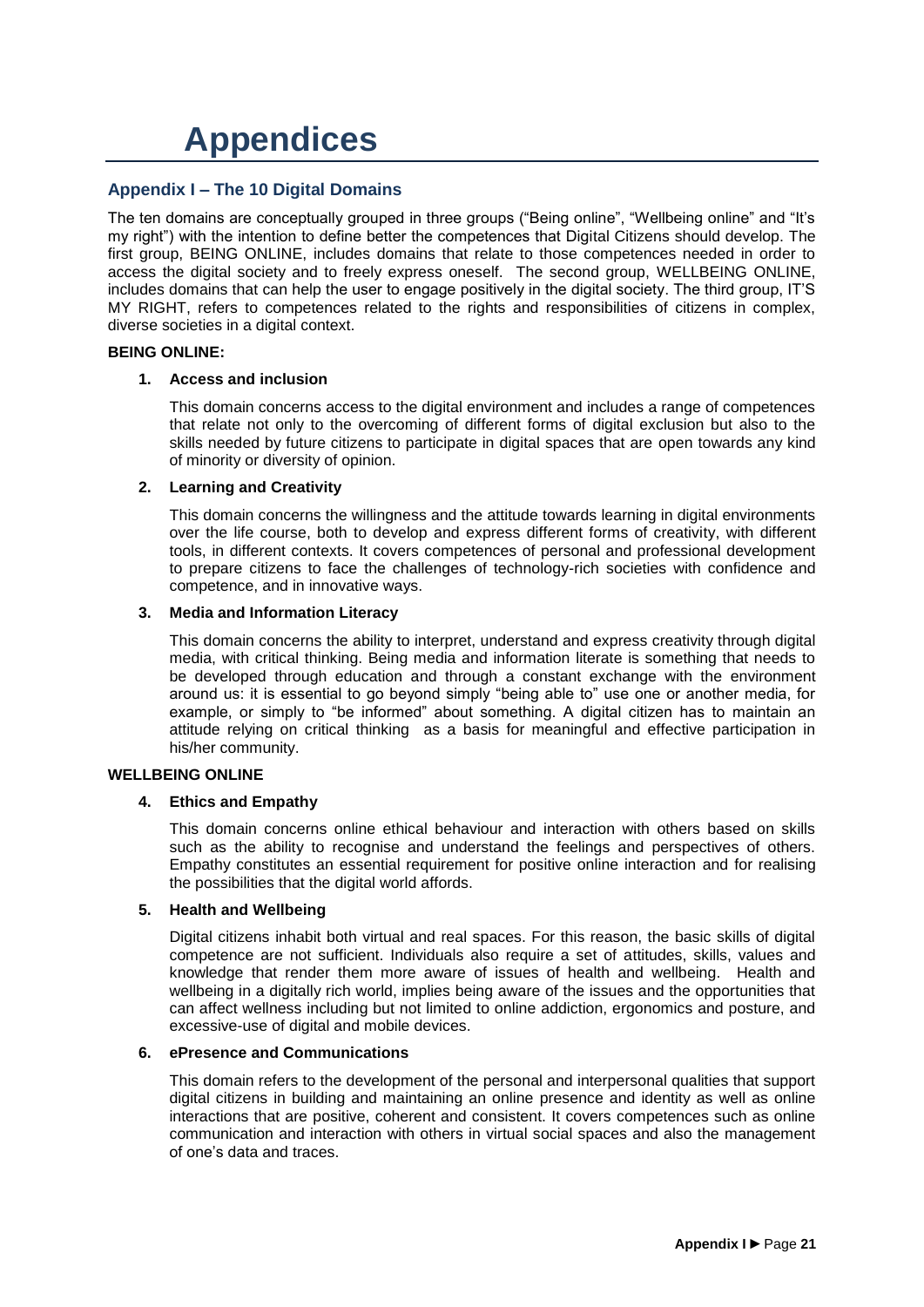### <span id="page-20-0"></span>**Appendices**

### <span id="page-20-1"></span>**Appendix I – The 10 Digital Domains**

The ten domains are conceptually grouped in three groups ("Being online", "Wellbeing online" and "It's my right") with the intention to define better the competences that Digital Citizens should develop. The first group, BEING ONLINE, includes domains that relate to those competences needed in order to access the digital society and to freely express oneself. The second group, WELLBEING ONLINE, includes domains that can help the user to engage positively in the digital society. The third group, IT'S MY RIGHT, refers to competences related to the rights and responsibilities of citizens in complex, diverse societies in a digital context.

### **BEING ONLINE:**

### **1. Access and inclusion**

This domain concerns access to the digital environment and includes a range of competences that relate not only to the overcoming of different forms of digital exclusion but also to the skills needed by future citizens to participate in digital spaces that are open towards any kind of minority or diversity of opinion.

### **2. Learning and Creativity**

This domain concerns the willingness and the attitude towards learning in digital environments over the life course, both to develop and express different forms of creativity, with different tools, in different contexts. It covers competences of personal and professional development to prepare citizens to face the challenges of technology-rich societies with confidence and competence, and in innovative ways.

### **3. Media and Information Literacy**

This domain concerns the ability to interpret, understand and express creativity through digital media, with critical thinking. Being media and information literate is something that needs to be developed through education and through a constant exchange with the environment around us: it is essential to go beyond simply "being able to" use one or another media, for example, or simply to "be informed" about something. A digital citizen has to maintain an attitude relying on critical thinking as a basis for meaningful and effective participation in his/her community.

### **WELLBEING ONLINE**

### **4. Ethics and Empathy**

This domain concerns online ethical behaviour and interaction with others based on skills such as the ability to recognise and understand the feelings and perspectives of others. Empathy constitutes an essential requirement for positive online interaction and for realising the possibilities that the digital world affords.

### **5. Health and Wellbeing**

Digital citizens inhabit both virtual and real spaces. For this reason, the basic skills of digital competence are not sufficient. Individuals also require a set of attitudes, skills, values and knowledge that render them more aware of issues of health and wellbeing. Health and wellbeing in a digitally rich world, implies being aware of the issues and the opportunities that can affect wellness including but not limited to online addiction, ergonomics and posture, and excessive-use of digital and mobile devices.

### **6. ePresence and Communications**

This domain refers to the development of the personal and interpersonal qualities that support digital citizens in building and maintaining an online presence and identity as well as online interactions that are positive, coherent and consistent. It covers competences such as online communication and interaction with others in virtual social spaces and also the management of one's data and traces.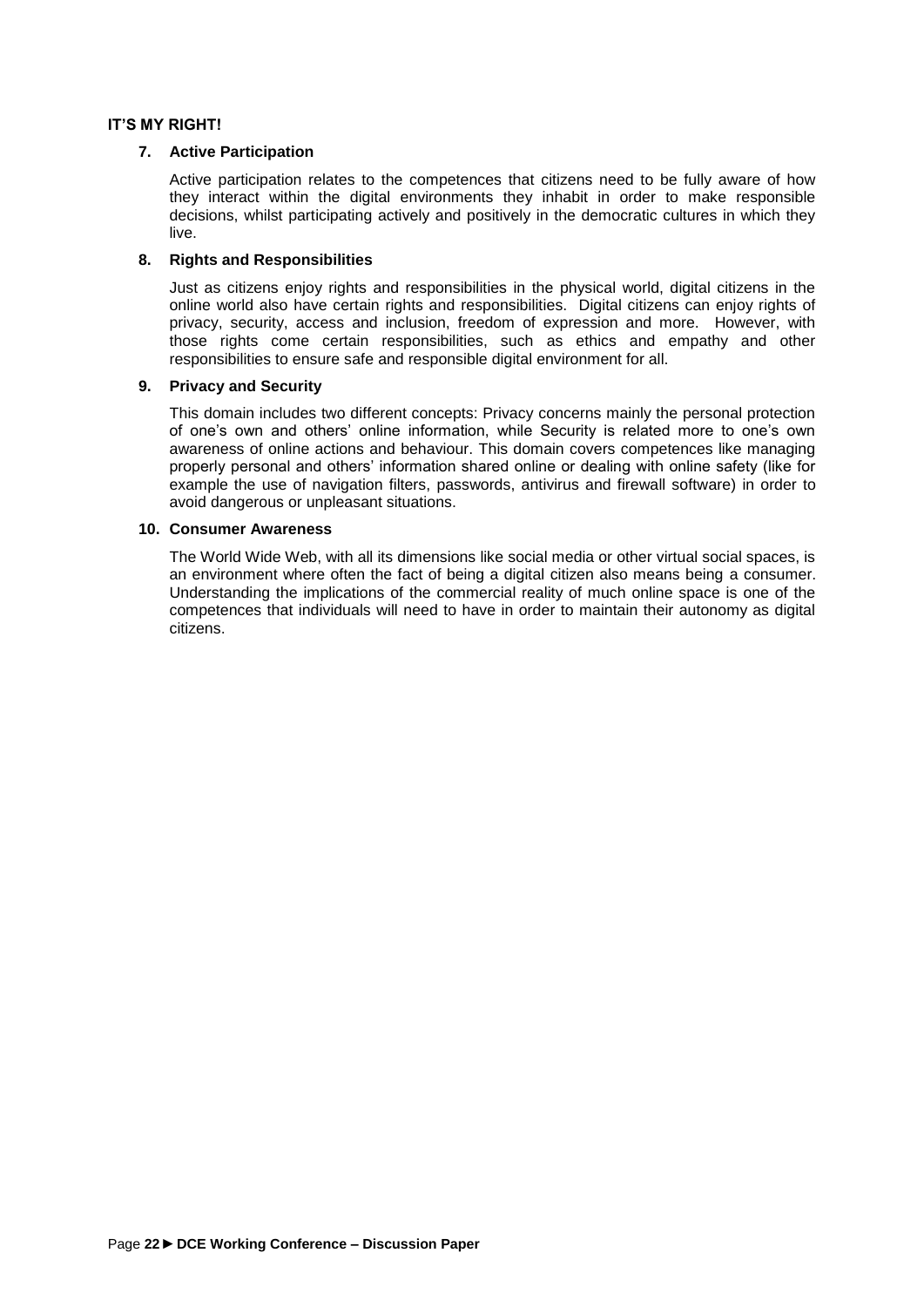### **IT'S MY RIGHT!**

### **7. Active Participation**

Active participation relates to the competences that citizens need to be fully aware of how they interact within the digital environments they inhabit in order to make responsible decisions, whilst participating actively and positively in the democratic cultures in which they live.

### **8. Rights and Responsibilities**

Just as citizens enjoy rights and responsibilities in the physical world, digital citizens in the online world also have certain rights and responsibilities. Digital citizens can enjoy rights of privacy, security, access and inclusion, freedom of expression and more. However, with those rights come certain responsibilities, such as ethics and empathy and other responsibilities to ensure safe and responsible digital environment for all.

### **9. Privacy and Security**

This domain includes two different concepts: Privacy concerns mainly the personal protection of one's own and others' online information, while Security is related more to one's own awareness of online actions and behaviour. This domain covers competences like managing properly personal and others' information shared online or dealing with online safety (like for example the use of navigation filters, passwords, antivirus and firewall software) in order to avoid dangerous or unpleasant situations.

### **10. Consumer Awareness**

The World Wide Web, with all its dimensions like social media or other virtual social spaces, is an environment where often the fact of being a digital citizen also means being a consumer. Understanding the implications of the commercial reality of much online space is one of the competences that individuals will need to have in order to maintain their autonomy as digital citizens.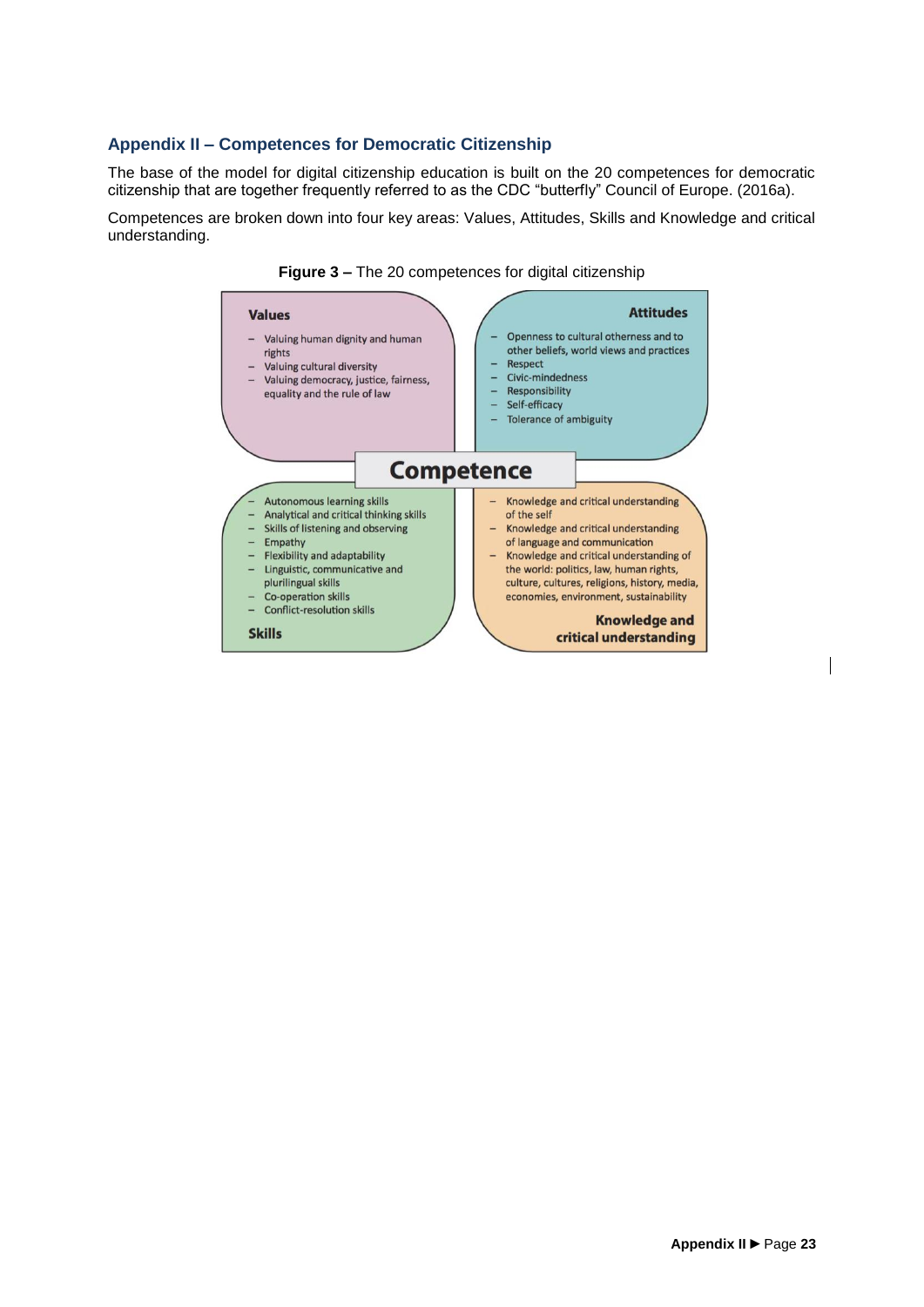### <span id="page-22-0"></span>**Appendix II – Competences for Democratic Citizenship**

The base of the model for digital citizenship education is built on the 20 competences for democratic citizenship that are together frequently referred to as the CDC "butterfly" Council of Europe. (2016a).

Competences are broken down into four key areas: Values, Attitudes, Skills and Knowledge and critical understanding.



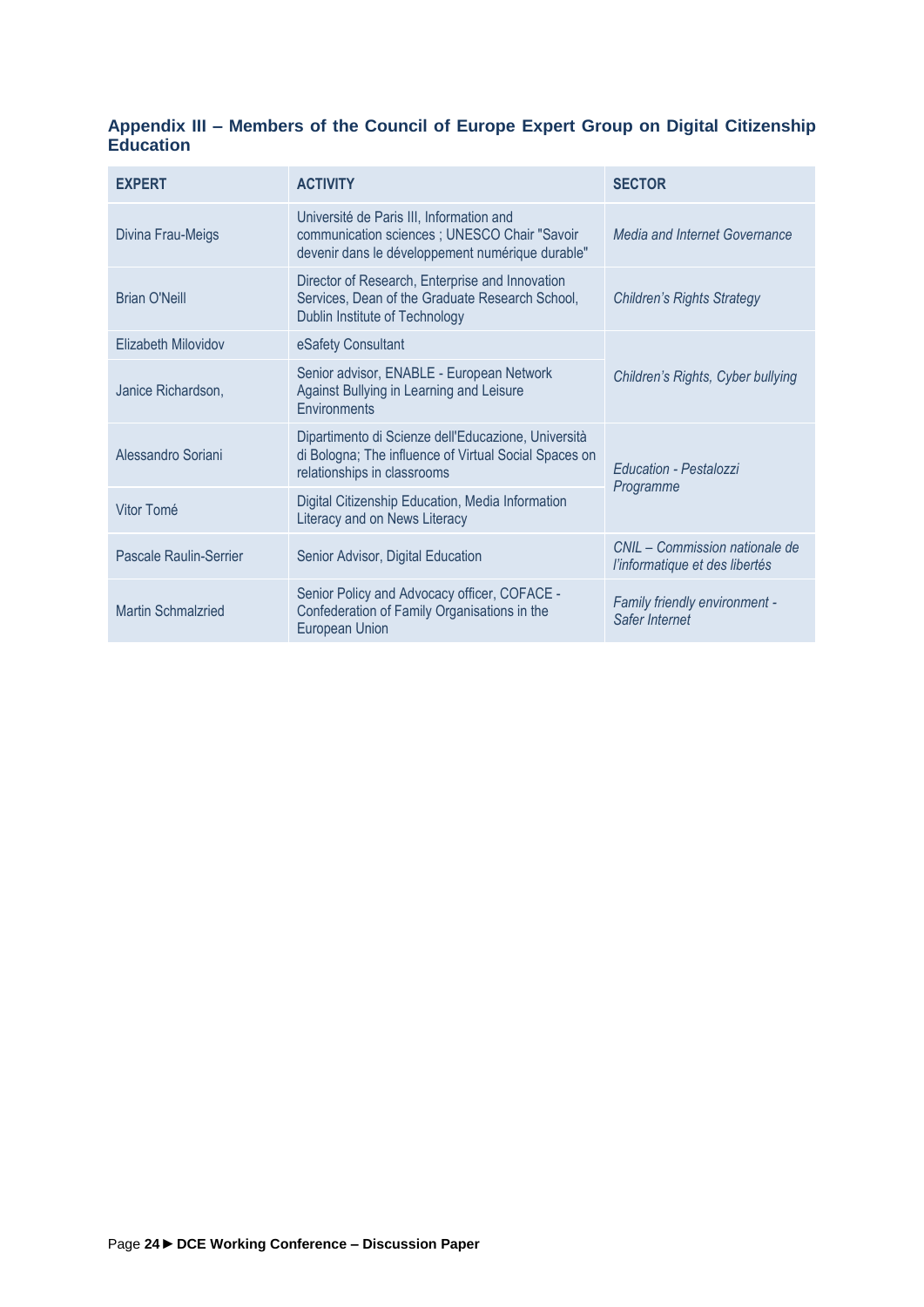### <span id="page-23-0"></span>**Appendix III – Members of the Council of Europe Expert Group on Digital Citizenship Education**

| EXPERT                    | <b>ACTIVITY</b>                                                                                                                               | <b>SECTOR</b>                                                    |  |
|---------------------------|-----------------------------------------------------------------------------------------------------------------------------------------------|------------------------------------------------------------------|--|
| Divina Frau-Meigs         | Université de Paris III, Information and<br>communication sciences ; UNESCO Chair "Savoir<br>devenir dans le développement numérique durable" | Media and Internet Governance                                    |  |
| <b>Brian O'Neill</b>      | Director of Research, Enterprise and Innovation<br>Services, Dean of the Graduate Research School,<br>Dublin Institute of Technology          | <b>Children's Rights Strategy</b>                                |  |
| Elizabeth Milovidov       | eSafety Consultant                                                                                                                            | Children's Rights, Cyber bullying                                |  |
| Janice Richardson,        | Senior advisor, ENABLE - European Network<br>Against Bullying in Learning and Leisure<br>Environments                                         |                                                                  |  |
| Alessandro Soriani        | Dipartimento di Scienze dell'Educazione, Università<br>di Bologna; The influence of Virtual Social Spaces on<br>relationships in classrooms   | <b>Education - Pestalozzi</b><br>Programme                       |  |
| Vitor Tomé                | Digital Citizenship Education, Media Information<br>Literacy and on News Literacy                                                             |                                                                  |  |
| Pascale Raulin-Serrier    | Senior Advisor, Digital Education                                                                                                             | CNIL - Commission nationale de<br>l'informatique et des libertés |  |
| <b>Martin Schmalzried</b> | Senior Policy and Advocacy officer, COFACE -<br>Confederation of Family Organisations in the<br><b>European Union</b>                         | Family friendly environment -<br>Safer Internet                  |  |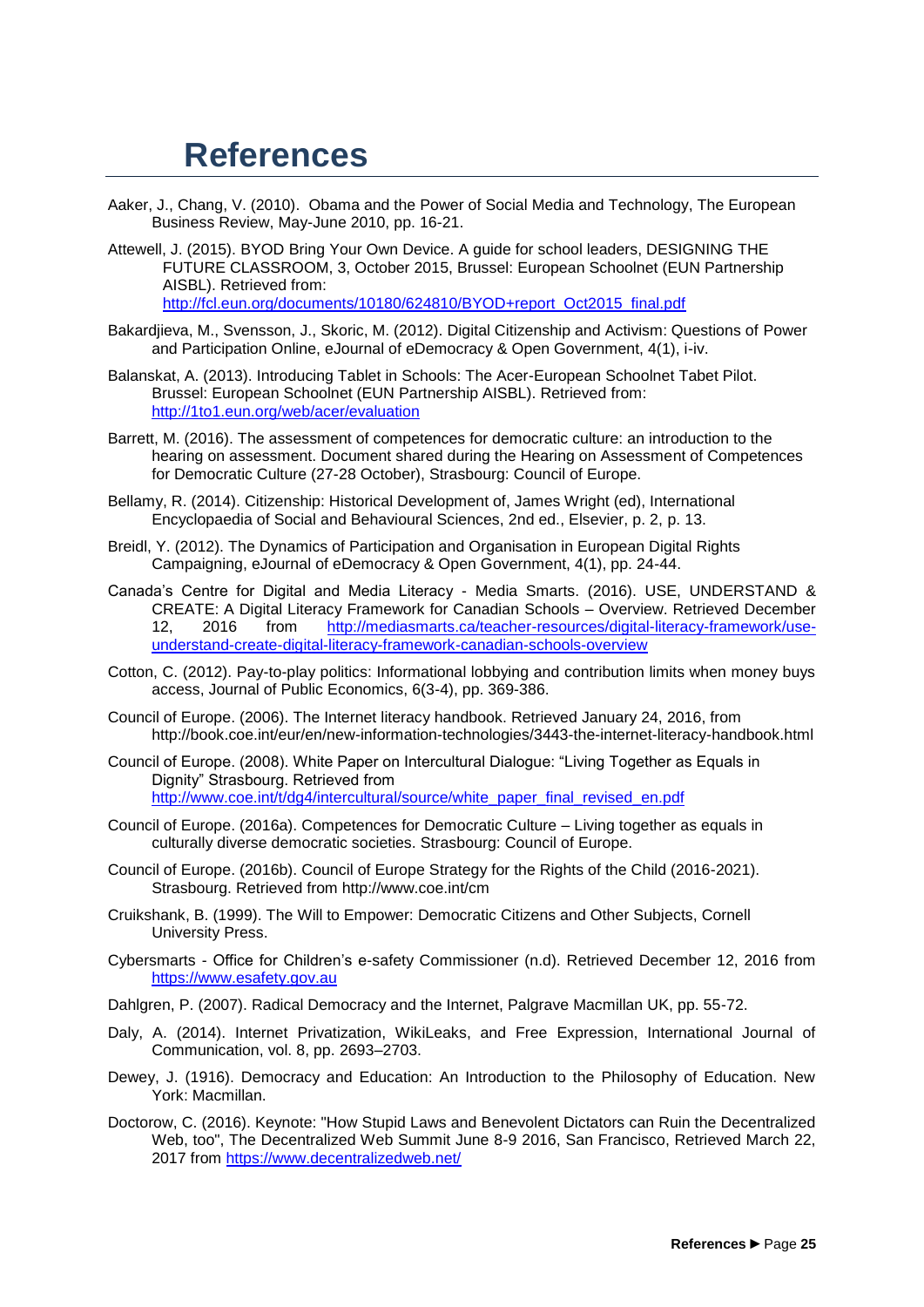### <span id="page-24-0"></span>**References**

- Aaker, J., Chang, V. (2010). Obama and the Power of Social Media and Technology, The European Business Review, May-June 2010, pp. 16-21.
- Attewell, J. (2015). BYOD Bring Your Own Device. A guide for school leaders, DESIGNING THE FUTURE CLASSROOM, 3, October 2015, Brussel: European Schoolnet (EUN Partnership AISBL). Retrieved from: [http://fcl.eun.org/documents/10180/624810/BYOD+report\\_Oct2015\\_final.pdf](http://fcl.eun.org/documents/10180/624810/BYOD+report_Oct2015_final.pdf)
- Bakardjieva, M., Svensson, J., Skoric, M. (2012). Digital Citizenship and Activism: Questions of Power and Participation Online, eJournal of eDemocracy & Open Government, 4(1), i-iv.
- Balanskat, A. (2013). Introducing Tablet in Schools: The Acer-European Schoolnet Tabet Pilot. Brussel: European Schoolnet (EUN Partnership AISBL). Retrieved from: <http://1to1.eun.org/web/acer/evaluation>
- Barrett, M. (2016). The assessment of competences for democratic culture: an introduction to the hearing on assessment. Document shared during the Hearing on Assessment of Competences for Democratic Culture (27-28 October), Strasbourg: Council of Europe.
- Bellamy, R. (2014). Citizenship: Historical Development of, James Wright (ed), International Encyclopaedia of Social and Behavioural Sciences, 2nd ed., Elsevier, p. 2, p. 13.
- Breidl, Y. (2012). The Dynamics of Participation and Organisation in European Digital Rights Campaigning, eJournal of eDemocracy & Open Government, 4(1), pp. 24-44.
- Canada's Centre for Digital and Media Literacy Media Smarts. (2016). USE, UNDERSTAND & CREATE: A Digital Literacy Framework for Canadian Schools – Overview. Retrieved December 12, 2016 from [http://mediasmarts.ca/teacher-resources/digital-literacy-framework/use](http://mediasmarts.ca/teacher-resources/digital-literacy-framework/use-understand-create-digital-literacy-framework-canadian-schools-overview)[understand-create-digital-literacy-framework-canadian-schools-overview](http://mediasmarts.ca/teacher-resources/digital-literacy-framework/use-understand-create-digital-literacy-framework-canadian-schools-overview)
- Cotton, C. (2012). Pay-to-play politics: Informational lobbying and contribution limits when money buys access, Journal of Public Economics, 6(3-4), pp. 369-386.
- Council of Europe. (2006). The Internet literacy handbook. Retrieved January 24, 2016, from http://book.coe.int/eur/en/new-information-technologies/3443-the-internet-literacy-handbook.html
- Council of Europe. (2008). White Paper on Intercultural Dialogue: "Living Together as Equals in Dignity" Strasbourg. Retrieved from [http://www.coe.int/t/dg4/intercultural/source/white\\_paper\\_final\\_revised\\_en.pdf](http://www.coe.int/t/dg4/intercultural/source/white_paper_final_revised_en.pdf)
- Council of Europe. (2016a). Competences for Democratic Culture Living together as equals in culturally diverse democratic societies. Strasbourg: Council of Europe.
- Council of Europe. (2016b). Council of Europe Strategy for the Rights of the Child (2016-2021). Strasbourg. Retrieved from http://www.coe.int/cm
- Cruikshank, B. (1999). The Will to Empower: Democratic Citizens and Other Subjects, Cornell University Press.
- Cybersmarts Office for Children's e-safety Commissioner (n.d). Retrieved December 12, 2016 from [https://www.esafety.gov.au](https://www.esafety.gov.au/)
- Dahlgren, P. (2007). Radical Democracy and the Internet, Palgrave Macmillan UK, pp. 55-72.
- Daly, A. (2014). Internet Privatization, WikiLeaks, and Free Expression, International Journal of Communication, vol. 8, pp. 2693–2703.
- Dewey, J. (1916). Democracy and Education: An Introduction to the Philosophy of Education. New York: Macmillan.
- Doctorow, C. (2016). Keynote: "How Stupid Laws and Benevolent Dictators can Ruin the Decentralized Web, too", The Decentralized Web Summit June 8-9 2016, San Francisco, Retrieved March 22, 2017 from<https://www.decentralizedweb.net/>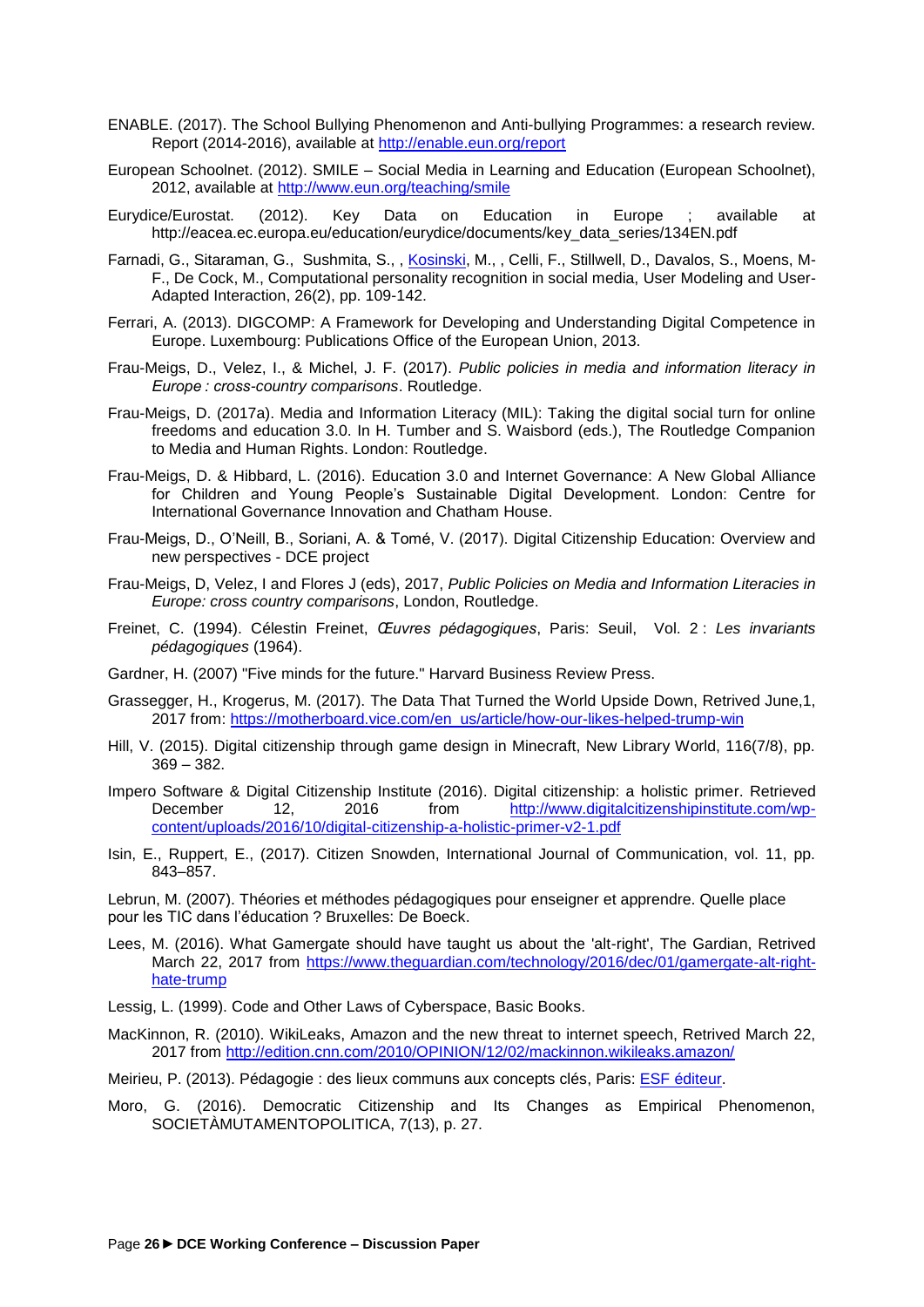- ENABLE. (2017). The School Bullying Phenomenon and Anti-bullying Programmes: a research review. Report (2014-2016), available at<http://enable.eun.org/report>
- European Schoolnet. (2012). SMILE Social Media in Learning and Education (European Schoolnet), 2012, available at<http://www.eun.org/teaching/smile>
- Eurydice/Eurostat. (2012). Key Data on Education in Europe ; available at http://eacea.ec.europa.eu/education/eurydice/documents/key\_data\_series/134EN.pdf
- Farnadi, G., Sitaraman, G., Sushmita, S., , [Kosinski,](https://www.gsb.stanford.edu/faculty-research/faculty/michal-kosinski) M., , Celli, F., Stillwell, D., Davalos, S., Moens, M-F., De Cock, M., Computational personality recognition in social media, User Modeling and User-Adapted Interaction, 26(2), pp. 109-142.
- Ferrari, A. (2013). DIGCOMP: A Framework for Developing and Understanding Digital Competence in Europe. Luxembourg: Publications Office of the European Union, 2013.
- Frau-Meigs, D., Velez, I., & Michel, J. F. (2017). *Public policies in media and information literacy in Europe : cross-country comparisons*. Routledge.
- Frau-Meigs, D. (2017a). Media and Information Literacy (MIL): Taking the digital social turn for online freedoms and education 3.0. In H. Tumber and S. Waisbord (eds.), The Routledge Companion to Media and Human Rights. London: Routledge.
- Frau-Meigs, D. & Hibbard, L. (2016). Education 3.0 and Internet Governance: A New Global Alliance for Children and Young People's Sustainable Digital Development. London: Centre for International Governance Innovation and Chatham House.
- Frau-Meigs, D., O'Neill, B., Soriani, A. & Tomé, V. (2017). Digital Citizenship Education: Overview and new perspectives - DCE project
- Frau-Meigs, D, Velez, I and Flores J (eds), 2017, *Public Policies on Media and Information Literacies in Europe: cross country comparisons*, London, Routledge.
- [Freinet,](https://fr.wikipedia.org/wiki/C%C3%A9lestin_Freinet) C. (1994). Célestin Freinet, *Œuvres pédagogiques*, Paris: Seuil, Vol. 2 : *Les invariants pédagogiques* (1964).
- Gardner, H. (2007) "Five minds for the future." Harvard Business Review Press.
- Grassegger, H., Krogerus, M. (2017). The Data That Turned the World Upside Down, Retrived June,1, 2017 from: [https://motherboard.vice.com/en\\_us/article/how-our-likes-helped-trump-win](https://motherboard.vice.com/en_us/article/how-our-likes-helped-trump-win)
- Hill, V. (2015). Digital citizenship through game design in Minecraft, New Library World, 116(7/8), pp. 369 – 382.
- Impero Software & Digital Citizenship Institute (2016). Digital citizenship: a holistic primer. Retrieved December 12, 2016 from [http://www.digitalcitizenshipinstitute.com/wp](http://www.digitalcitizenshipinstitute.com/wp-content/uploads/2016/10/digital-citizenship-a-holistic-primer-v2-1.pdf)[content/uploads/2016/10/digital-citizenship-a-holistic-primer-v2-1.pdf](http://www.digitalcitizenshipinstitute.com/wp-content/uploads/2016/10/digital-citizenship-a-holistic-primer-v2-1.pdf)
- Isin, E., Ruppert, E., (2017). Citizen Snowden, International Journal of Communication, vol. 11, pp. 843–857.

Lebrun, M. (2007). Théories et méthodes pédagogiques pour enseigner et apprendre. Quelle place pour les TIC dans l'éducation ? Bruxelles: De Boeck.

Lees, M. (2016). What Gamergate should have taught us about the 'alt-right', The Gardian, Retrived March 22, 2017 from [https://www.theguardian.com/technology/2016/dec/01/gamergate-alt-right](https://www.theguardian.com/technology/2016/dec/01/gamergate-alt-right-hate-trump)[hate-trump](https://www.theguardian.com/technology/2016/dec/01/gamergate-alt-right-hate-trump)

Lessig, L. (1999). Code and Other Laws of Cyberspace, Basic Books.

MacKinnon, R. (2010). WikiLeaks, Amazon and the new threat to internet speech, Retrived March 22, 2017 from<http://edition.cnn.com/2010/OPINION/12/02/mackinnon.wikileaks.amazon/>

Meirieu, P. (2013). Pédagogie : des lieux communs aux concepts clés, Paris: [ESF éditeur.](https://fr.wikipedia.org/wiki/ESF_%C3%A9diteur)

Moro, G. (2016). Democratic Citizenship and Its Changes as Empirical Phenomenon, SOCIETÀMUTAMENTOPOLITICA, 7(13), p. 27.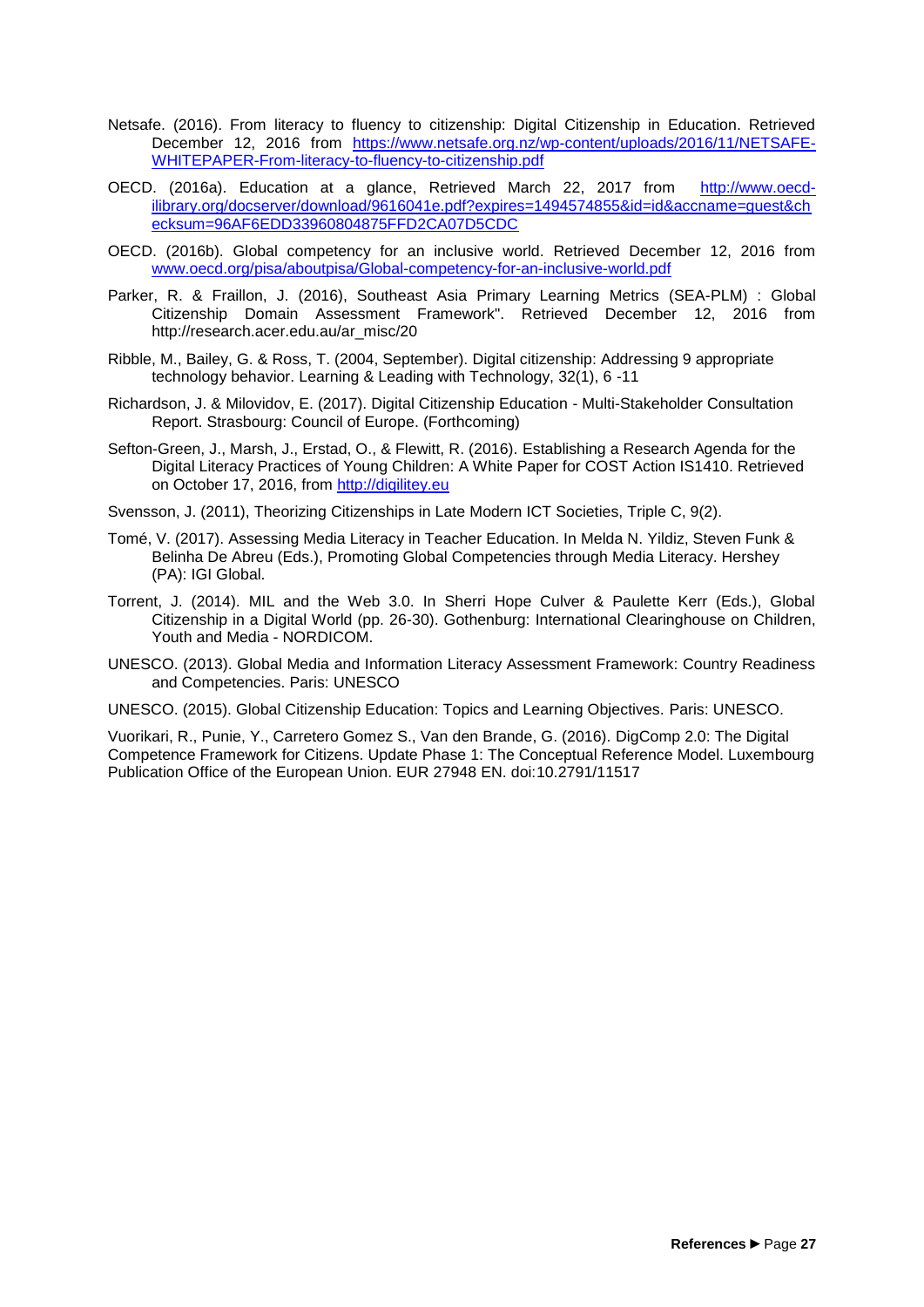- Netsafe. (2016). From literacy to fluency to citizenship: Digital Citizenship in Education. Retrieved December 12, 2016 from [https://www.netsafe.org.nz/wp-content/uploads/2016/11/NETSAFE-](https://www.netsafe.org.nz/wp-content/uploads/2016/11/NETSAFE-WHITEPAPER-From-literacy-to-fluency-to-citizenship.pdf)[WHITEPAPER-From-literacy-to-fluency-to-citizenship.pdf](https://www.netsafe.org.nz/wp-content/uploads/2016/11/NETSAFE-WHITEPAPER-From-literacy-to-fluency-to-citizenship.pdf)
- OECD. (2016a). Education at a glance, Retrieved March 22, 2017 from [http://www.oecd](http://www.oecd-ilibrary.org/docserver/download/9616041e.pdf?expires=1494574855&id=id&accname=guest&checksum=96AF6EDD33960804875FFD2CA07D5CDC)[ilibrary.org/docserver/download/9616041e.pdf?expires=1494574855&id=id&accname=guest&ch](http://www.oecd-ilibrary.org/docserver/download/9616041e.pdf?expires=1494574855&id=id&accname=guest&checksum=96AF6EDD33960804875FFD2CA07D5CDC) [ecksum=96AF6EDD33960804875FFD2CA07D5CDC](http://www.oecd-ilibrary.org/docserver/download/9616041e.pdf?expires=1494574855&id=id&accname=guest&checksum=96AF6EDD33960804875FFD2CA07D5CDC)
- OECD. (2016b). Global competency for an inclusive world. Retrieved December 12, 2016 from [www.oecd.org/pisa/aboutpisa/Global-competency-for-an-inclusive-world.pdf](http://www.oecd.org/pisa/aboutpisa/Global-competency-for-an-inclusive-world.pdf)
- Parker, R. & Fraillon, J. (2016), Southeast Asia Primary Learning Metrics (SEA-PLM) : Global Citizenship Domain Assessment Framework". Retrieved December 12, 2016 from http://research.acer.edu.au/ar\_misc/20
- Ribble, M., Bailey, G. & Ross, T. (2004, September). Digital citizenship: Addressing 9 appropriate technology behavior. Learning & Leading with Technology, 32(1), 6 -11
- Richardson, J. & Milovidov, E. (2017). Digital Citizenship Education Multi-Stakeholder Consultation Report. Strasbourg: Council of Europe. (Forthcoming)
- Sefton-Green, J., Marsh, J., Erstad, O., & Flewitt, R. (2016). Establishing a Research Agenda for the Digital Literacy Practices of Young Children: A White Paper for COST Action IS1410. Retrieved on October 17, 2016, from [http://digilitey.eu](http://digilitey.eu/)
- Svensson, J. (2011), Theorizing Citizenships in Late Modern ICT Societies, Triple C, 9(2).
- Tomé, V. (2017). Assessing Media Literacy in Teacher Education. In Melda N. Yildiz, Steven Funk & Belinha De Abreu (Eds.), Promoting Global Competencies through Media Literacy. Hershey (PA): IGI Global.
- Torrent, J. (2014). MIL and the Web 3.0. In Sherri Hope Culver & Paulette Kerr (Eds.), Global Citizenship in a Digital World (pp. 26-30). Gothenburg: International Clearinghouse on Children, Youth and Media - NORDICOM.
- UNESCO. (2013). Global Media and Information Literacy Assessment Framework: Country Readiness and Competencies. Paris: UNESCO
- UNESCO. (2015). Global Citizenship Education: Topics and Learning Objectives. Paris: UNESCO.

Vuorikari, R., Punie, Y., Carretero Gomez S., Van den Brande, G. (2016). DigComp 2.0: The Digital Competence Framework for Citizens. Update Phase 1: The Conceptual Reference Model. Luxembourg Publication Office of the European Union. EUR 27948 EN. doi:10.2791/11517